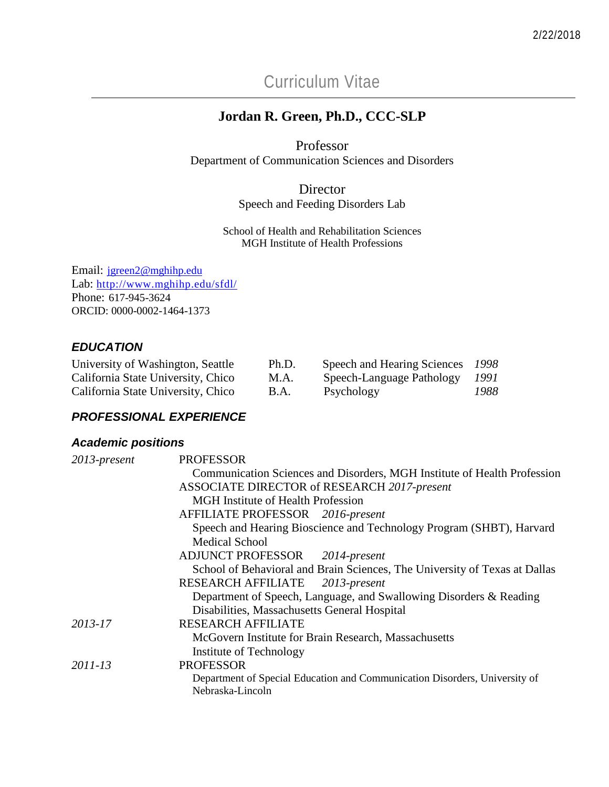Curriculum Vitae

# **Jordan R. Green, Ph.D., CCC-SLP**

Professor Department of Communication Sciences and Disorders

> Director Speech and Feeding Disorders Lab

School of Health and Rehabilitation Sciences MGH Institute of Health Professions

Email: [jgreen2@mghihp.edu](mailto:jgreen2@mghihp.edu) Lab: <http://www.mghihp.edu/sfdl/> Phone: 617-945-3624 ORCID: 0000-0002-1464-1373

# *EDUCATION*

| University of Washington, Seattle  | Ph.D. | Speech and Hearing Sciences | -1998  |
|------------------------------------|-------|-----------------------------|--------|
| California State University, Chico | M.A.  | Speech-Language Pathology   | - 1991 |
| California State University, Chico | B.A.  | Psychology                  | 1988   |

## *PROFESSIONAL EXPERIENCE*

## *Academic positions*

| 2013-present | <b>PROFESSOR</b>                                                                |  |  |
|--------------|---------------------------------------------------------------------------------|--|--|
|              | <b>Communication Sciences and Disorders, MGH Institute of Health Profession</b> |  |  |
|              | ASSOCIATE DIRECTOR of RESEARCH 2017-present                                     |  |  |
|              | <b>MGH</b> Institute of Health Profession                                       |  |  |
|              | AFFILIATE PROFESSOR 2016-present                                                |  |  |
|              | Speech and Hearing Bioscience and Technology Program (SHBT), Harvard            |  |  |
|              | <b>Medical School</b>                                                           |  |  |
|              | ADJUNCT PROFESSOR 2014-present                                                  |  |  |
|              | School of Behavioral and Brain Sciences, The University of Texas at Dallas      |  |  |
|              | RESEARCH AFFILIATE 2013-present                                                 |  |  |
|              | Department of Speech, Language, and Swallowing Disorders & Reading              |  |  |
|              | Disabilities, Massachusetts General Hospital                                    |  |  |
| 2013-17      | <b>RESEARCH AFFILIATE</b>                                                       |  |  |
|              | McGovern Institute for Brain Research, Massachusetts                            |  |  |
|              | Institute of Technology                                                         |  |  |
| 2011-13      | <b>PROFESSOR</b>                                                                |  |  |
|              | Department of Special Education and Communication Disorders, University of      |  |  |
|              | Nebraska-Lincoln                                                                |  |  |
|              |                                                                                 |  |  |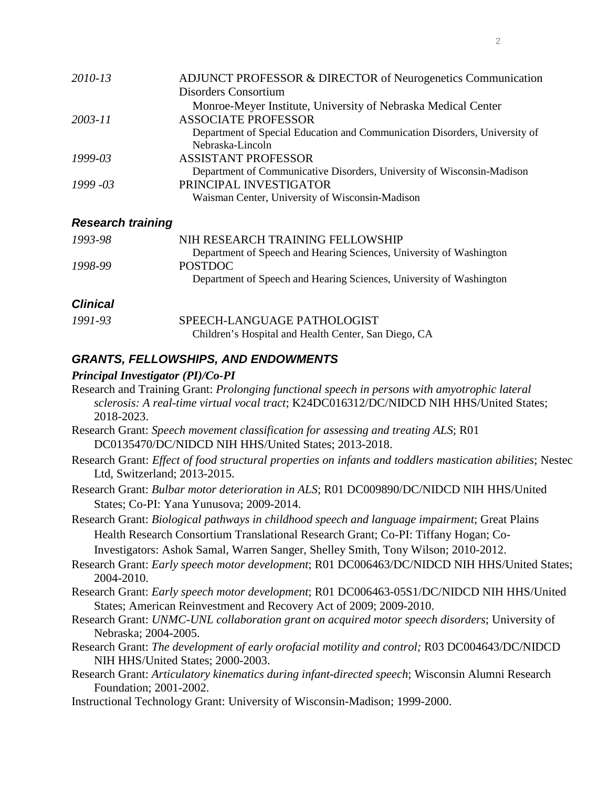| 2010-13     | ADJUNCT PROFESSOR & DIRECTOR of Neurogenetics Communication                |
|-------------|----------------------------------------------------------------------------|
|             | Disorders Consortium                                                       |
|             | Monroe-Meyer Institute, University of Nebraska Medical Center              |
| 2003-11     | <b>ASSOCIATE PROFESSOR</b>                                                 |
|             | Department of Special Education and Communication Disorders, University of |
|             | Nebraska-Lincoln                                                           |
| 1999-03     | <b>ASSISTANT PROFESSOR</b>                                                 |
|             | Department of Communicative Disorders, University of Wisconsin-Madison     |
| $1999 - 03$ | PRINCIPAL INVESTIGATOR                                                     |
|             | Waisman Center, University of Wisconsin-Madison                            |

#### *Research training*

| 1993-98         | NIH RESEARCH TRAINING FELLOWSHIP                                    |
|-----------------|---------------------------------------------------------------------|
|                 | Department of Speech and Hearing Sciences, University of Washington |
| 1998-99         | <b>POSTDOC</b>                                                      |
|                 | Department of Speech and Hearing Sciences, University of Washington |
| <b>Clinical</b> |                                                                     |
| 1991-93         | SPEECH-LANGUAGE PATHOLOGIST                                         |
|                 | Children's Hospital and Health Center, San Diego, CA                |

## *GRANTS, FELLOWSHIPS, AND ENDOWMENTS*

#### *Principal Investigator (PI)/Co-PI*

- Research and Training Grant: *Prolonging functional speech in persons with amyotrophic lateral sclerosis: A real-time virtual vocal tract*; K24DC016312/DC/NIDCD NIH HHS/United States; 2018-2023.
- Research Grant: *Speech movement classification for assessing and treating ALS*; R01 DC0135470/DC/NIDCD NIH HHS/United States; 2013-2018.
- Research Grant: *Effect of food structural properties on infants and toddlers mastication abilities*; Nestec Ltd, Switzerland; 2013-2015.
- Research Grant: *Bulbar motor deterioration in ALS*; R01 DC009890/DC/NIDCD NIH HHS/United States; Co-PI: Yana Yunusova; 2009-2014.

Research Grant: *Biological pathways in childhood speech and language impairment*; Great Plains Health Research Consortium Translational Research Grant; Co-PI: Tiffany Hogan; Co-Investigators: Ashok Samal, Warren Sanger, Shelley Smith, Tony Wilson; 2010-2012.

- Research Grant: *Early speech motor development*; R01 DC006463/DC/NIDCD NIH HHS/United States; 2004-2010.
- Research Grant: *Early speech motor development*; R01 DC006463-05S1/DC/NIDCD NIH HHS/United States; American Reinvestment and Recovery Act of 2009; 2009-2010.
- Research Grant: *UNMC-UNL collaboration grant on acquired motor speech disorders*; University of Nebraska; 2004-2005.
- Research Grant: *The development of early orofacial motility and control;* R03 DC004643/DC/NIDCD NIH HHS/United States; 2000-2003.

Research Grant: *Articulatory kinematics during infant-directed speech*; Wisconsin Alumni Research Foundation; 2001-2002.

Instructional Technology Grant: University of Wisconsin-Madison; 1999-2000.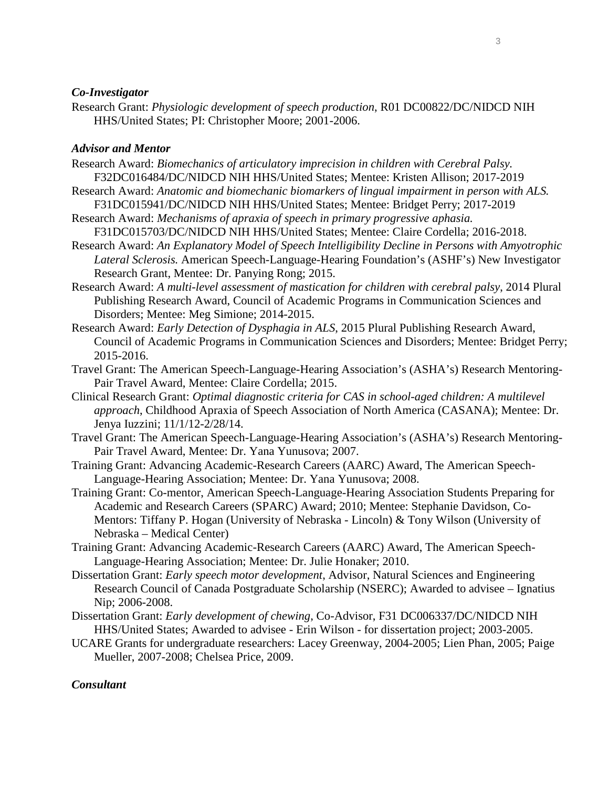#### *Co-Investigator*

Research Grant: *Physiologic development of speech production*, R01 DC00822/DC/NIDCD NIH HHS/United States; PI: Christopher Moore; 2001-2006.

#### *Advisor and Mentor*

- Research Award: *Biomechanics of articulatory imprecision in children with Cerebral Palsy.* F32DC016484/DC/NIDCD NIH HHS/United States; Mentee: Kristen Allison; 2017-2019
- Research Award: *Anatomic and biomechanic biomarkers of lingual impairment in person with ALS.* F31DC015941/DC/NIDCD NIH HHS/United States; Mentee: Bridget Perry; 2017-2019
- Research Award: *Mechanisms of apraxia of speech in primary progressive aphasia.* F31DC015703/DC/NIDCD NIH HHS/United States; Mentee: Claire Cordella; 2016-2018.
- Research Award: *An Explanatory Model of Speech Intelligibility Decline in Persons with Amyotrophic Lateral Sclerosis.* American Speech-Language-Hearing Foundation's (ASHF's) New Investigator Research Grant, Mentee: Dr. Panying Rong; 2015.
- Research Award: *A multi-level assessment of mastication for children with cerebral palsy*, 2014 Plural Publishing Research Award, Council of Academic Programs in Communication Sciences and Disorders; Mentee: Meg Simione; 2014-2015.
- Research Award: *Early Detection of Dysphagia in ALS*, 2015 Plural Publishing Research Award, Council of Academic Programs in Communication Sciences and Disorders; Mentee: Bridget Perry; 2015-2016.
- Travel Grant: The American Speech-Language-Hearing Association's (ASHA's) Research Mentoring-Pair Travel Award, Mentee: Claire Cordella; 2015.
- Clinical Research Grant: *Optimal diagnostic criteria for CAS in school-aged children: A multilevel approach*, Childhood Apraxia of Speech Association of North America (CASANA); Mentee: Dr. Jenya Iuzzini; 11/1/12-2/28/14.
- Travel Grant: The American Speech-Language-Hearing Association's (ASHA's) Research Mentoring-Pair Travel Award, Mentee: Dr. Yana Yunusova; 2007.
- Training Grant: Advancing Academic-Research Careers (AARC) Award, The American Speech-Language-Hearing Association; Mentee: Dr. Yana Yunusova; 2008.
- Training Grant: Co-mentor, American Speech-Language-Hearing Association Students Preparing for Academic and Research Careers (SPARC) Award; 2010; Mentee: Stephanie Davidson, Co-Mentors: Tiffany P. Hogan (University of Nebraska - Lincoln) & Tony Wilson (University of Nebraska – Medical Center)
- Training Grant: Advancing Academic-Research Careers (AARC) Award, The American Speech-Language-Hearing Association; Mentee: Dr. Julie Honaker; 2010.
- Dissertation Grant: *Early speech motor development*, Advisor, Natural Sciences and Engineering Research Council of Canada Postgraduate Scholarship (NSERC); Awarded to advisee – Ignatius Nip; 2006-2008.
- Dissertation Grant: *Early development of chewing*, Co-Advisor, F31 DC006337/DC/NIDCD NIH HHS/United States; Awarded to advisee - Erin Wilson - for dissertation project; 2003-2005.
- UCARE Grants for undergraduate researchers: Lacey Greenway, 2004-2005; Lien Phan, 2005; Paige Mueller, 2007-2008; Chelsea Price, 2009.

#### *Consultant*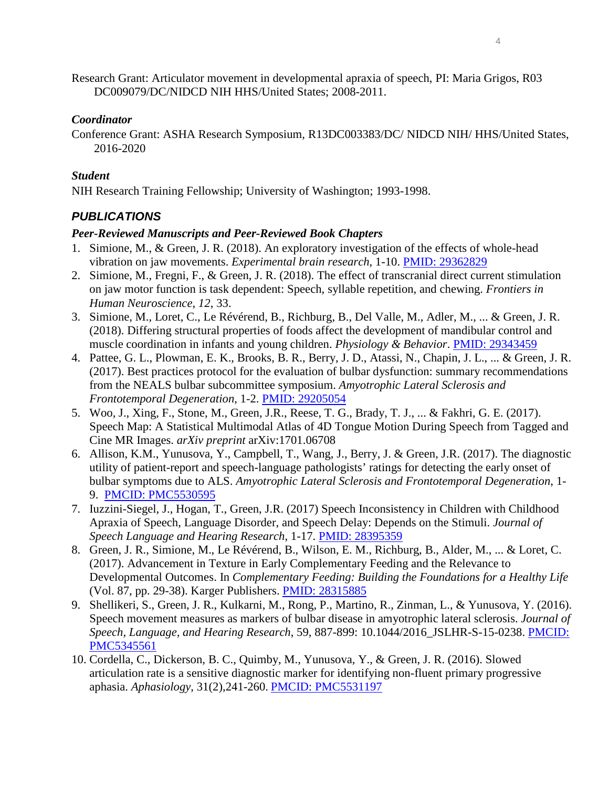Research Grant: Articulator movement in developmental apraxia of speech, PI: Maria Grigos, R03 DC009079/DC/NIDCD NIH HHS/United States; 2008-2011.

#### *Coordinator*

Conference Grant: ASHA Research Symposium, R13DC003383/DC/ NIDCD NIH/ HHS/United States, 2016-2020

## *Student*

NIH Research Training Fellowship; University of Washington; 1993-1998.

# *PUBLICATIONS*

#### *Peer-Reviewed Manuscripts and Peer-Reviewed Book Chapters*

- 1. Simione, M., & Green, J. R. (2018). An exploratory investigation of the effects of whole-head vibration on jaw movements. *Experimental brain research*, 1-10. [PMID: 29362829](https://www.ncbi.nlm.nih.gov/pubmed/?term=29362829)
- 2. Simione, M., Fregni, F., & Green, J. R. (2018). The effect of transcranial direct current stimulation on jaw motor function is task dependent: Speech, syllable repetition, and chewing. *Frontiers in Human Neuroscience*, *12*, 33.
- 3. Simione, M., Loret, C., Le Révérend, B., Richburg, B., Del Valle, M., Adler, M., ... & Green, J. R. (2018). Differing structural properties of foods affect the development of mandibular control and muscle coordination in infants and young children. *Physiology & Behavior*. [PMID: 29343459](https://www.ncbi.nlm.nih.gov/pubmed/?term=29343459)
- 4. Pattee, G. L., Plowman, E. K., Brooks, B. R., Berry, J. D., Atassi, N., Chapin, J. L., ... & Green, J. R. (2017). Best practices protocol for the evaluation of bulbar dysfunction: summary recommendations from the NEALS bulbar subcommittee symposium. *Amyotrophic Lateral Sclerosis and Frontotemporal Degeneration*, 1-2. [PMID: 29205054](https://www.ncbi.nlm.nih.gov/pubmed/29205054)
- 5. Woo, J., Xing, F., Stone, M., Green, J.R., Reese, T. G., Brady, T. J., ... & Fakhri, G. E. (2017). Speech Map: A Statistical Multimodal Atlas of 4D Tongue Motion During Speech from Tagged and Cine MR Images. *arXiv preprint* arXiv:1701.06708
- 6. Allison, K.M., Yunusova, Y., Campbell, T., Wang, J., Berry, J. & Green, J.R. (2017). The diagnostic utility of patient-report and speech-language pathologists' ratings for detecting the early onset of bulbar symptoms due to ALS. *Amyotrophic Lateral Sclerosis and Frontotemporal Degeneration*, 1- 9. [PMCID: PMC5530595](https://www.ncbi.nlm.nih.gov/pmc/articles/PMC5530595/)
- 7. Iuzzini-Siegel, J., Hogan, T., Green, J.R. (2017) Speech Inconsistency in Children with Childhood Apraxia of Speech, Language Disorder, and Speech Delay: Depends on the Stimuli. *Journal of Speech Language and Hearing Research*, 1-17. [PMID: 28395359](https://www.ncbi.nlm.nih.gov/pubmed/28395359)
- 8. Green, J. R., Simione, M., Le Révérend, B., Wilson, E. M., Richburg, B., Alder, M., ... & Loret, C. (2017). Advancement in Texture in Early Complementary Feeding and the Relevance to Developmental Outcomes. In *Complementary Feeding: Building the Foundations for a Healthy Life* (Vol. 87, pp. 29-38). Karger Publishers. [PMID: 28315885](https://www.ncbi.nlm.nih.gov/pubmed/28315885)
- 9. Shellikeri, S., Green, J. R., Kulkarni, M., Rong, P., Martino, R., Zinman, L., & Yunusova, Y. (2016). Speech movement measures as markers of bulbar disease in amyotrophic lateral sclerosis. *Journal of Speech, Language, and Hearing Research*, 59, 887-899: 10.1044/2016\_JSLHR-S-15-0238. [PMCID:](https://www.ncbi.nlm.nih.gov/pmc/articles/PMC5345561/) [PMC5345561](https://www.ncbi.nlm.nih.gov/pmc/articles/PMC5345561/)
- 10. Cordella, C., Dickerson, B. C., Quimby, M., Yunusova, Y., & Green, J. R. (2016). Slowed articulation rate is a sensitive diagnostic marker for identifying non-fluent primary progressive aphasia. *Aphasiology*, 31(2),241-260. PMCID: [PMC5531197](https://www.ncbi.nlm.nih.gov/pmc/articles/PMC5531197/)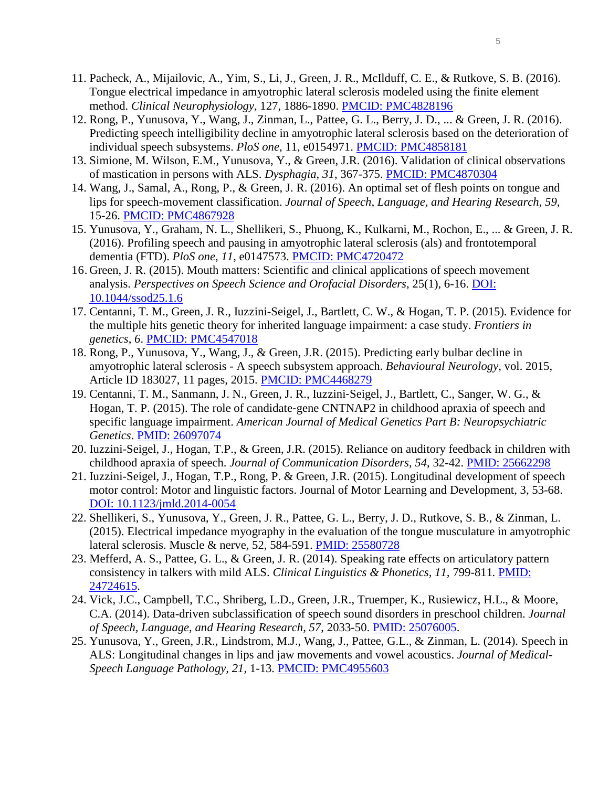- 11. Pacheck, A., Mijailovic, A., Yim, S., Li, J., Green, J. R., McIlduff, C. E., & Rutkove, S. B. (2016). Tongue electrical impedance in amyotrophic lateral sclerosis modeled using the finite element method. *Clinical Neurophysiology*, 127, 1886-1890. [PMCID: PMC4828196](https://www.ncbi.nlm.nih.gov/pmc/articles/PMC4828196/)
- 12. Rong, P., Yunusova, Y., Wang, J., Zinman, L., Pattee, G. L., Berry, J. D., ... & Green, J. R. (2016). Predicting speech intelligibility decline in amyotrophic lateral sclerosis based on the deterioration of individual speech subsystems. *PloS one*, 11, e0154971. [PMCID: PMC4858181](https://www.ncbi.nlm.nih.gov/pmc/articles/PMC4858181/)
- 13. Simione, M. Wilson, E.M., Yunusova, Y., & Green, J.R. (2016). Validation of clinical observations of mastication in persons with ALS. *Dysphagia*, *31*, 367-375. [PMCID: PMC4870304](https://www.ncbi.nlm.nih.gov/pmc/articles/PMC4870304/)
- 14. Wang, J., Samal, A., Rong, P., & Green, J. R. (2016). An optimal set of flesh points on tongue and lips for speech-movement classification. *Journal of Speech, Language, and Hearing Research*, *59*, 15-26. [PMCID: PMC4867928](https://www.ncbi.nlm.nih.gov/pmc/articles/PMC4867928/)
- 15. Yunusova, Y., Graham, N. L., Shellikeri, S., Phuong, K., Kulkarni, M., Rochon, E., ... & Green, J. R. (2016). Profiling speech and pausing in amyotrophic lateral sclerosis (als) and frontotemporal dementia (FTD). *PloS one*, *11*, e0147573. [PMCID: PMC4720472](https://www.ncbi.nlm.nih.gov/pmc/articles/PMC4720472/)
- 16. Green, J. R. (2015). Mouth matters: Scientific and clinical applications of speech movement analysis. *Perspectives on Speech Science and Orofacial Disorders*, 25(1), 6-16. [DOI:](http://sig5perspectives.pubs.asha.org/article.aspx?articleid=2398080)  [10.1044/ssod25.1.6](http://sig5perspectives.pubs.asha.org/article.aspx?articleid=2398080)
- 17. Centanni, T. M., Green, J. R., Iuzzini-Seigel, J., Bartlett, C. W., & Hogan, T. P. (2015). Evidence for the multiple hits genetic theory for inherited language impairment: a case study. *Frontiers in genetics*, *6*. [PMCID: PMC4547018](https://www.ncbi.nlm.nih.gov/pmc/articles/PMC4547018/)
- 18. Rong, P., Yunusova, Y., Wang, J., & Green, J.R. (2015). Predicting early bulbar decline in amyotrophic lateral sclerosis - A speech subsystem approach. *Behavioural Neurology,* vol. 2015, Article ID 183027, 11 pages, 2015. [PMCID: PMC4468279](https://www.ncbi.nlm.nih.gov/pubmed/26136624)
- 19. Centanni, T. M., Sanmann, J. N., Green, J. R., Iuzzini‐Seigel, J., Bartlett, C., Sanger, W. G., & Hogan, T. P. (2015). The role of candidate‐gene CNTNAP2 in childhood apraxia of speech and specific language impairment. *American Journal of Medical Genetics Part B: Neuropsychiatric Genetics*. [PMID: 26097074](https://www.ncbi.nlm.nih.gov/pubmed/26097074)
- 20. Iuzzini-Seigel, J., Hogan, T.P., & Green, J.R. (2015). Reliance on auditory feedback in children with childhood apraxia of speech. *Journal of Communication Disorders*, *54*, 32-42. [PMID: 25662298](http://www.ncbi.nlm.nih.gov/pubmed/25662298)
- 21. Iuzzini-Seigel, J., Hogan, T.P., Rong, P. & Green, J.R. (2015). Longitudinal development of speech motor control: Motor and linguistic factors. Journal of Motor Learning and Development, 3, 53-68. [DOI: 10.1123/jmld.2014-0054](http://dx.doi.org/10.1123/jmld.2014-0054)
- 22. Shellikeri, S., Yunusova, Y., Green, J. R., Pattee, G. L., Berry, J. D., Rutkove, S. B., & Zinman, L. (2015). Electrical impedance myography in the evaluation of the tongue musculature in amyotrophic lateral sclerosis. Muscle & nerve, 52, 584-591. [PMID: 25580728](http://www.ncbi.nlm.nih.gov/pubmed/25580728)
- 23. Mefferd, A. S., Pattee, G. L., & Green, J. R. (2014). Speaking rate effects on articulatory pattern consistency in talkers with mild ALS. *Clinical Linguistics & Phonetics, 11,* 799-811*.* [PMID:](http://informahealthcare.com/doi/abs/10.3109/02699206.2014.908239)  [24724615.](http://informahealthcare.com/doi/abs/10.3109/02699206.2014.908239)
- 24. Vick, J.C., Campbell, T.C., Shriberg, L.D., Green, J.R., Truemper, K., Rusiewicz, H.L., & Moore, C.A. (2014). Data-driven subclassification of speech sound disorders in preschool children. *Journal of Speech, Language, and Hearing Research*, *57*, 2033-50. [PMID: 25076005.](http://www.ncbi.nlm.nih.gov/pubmed/25076005)
- 25. Yunusova, Y., Green, J.R., Lindstrom, M.J., Wang, J., Pattee, G.L., & Zinman, L. (2014). Speech in ALS: Longitudinal changes in lips and jaw movements and vowel acoustics. *Journal of Medical-Speech Language Pathology, 21,* 1-13. [PMCID: PMC4955603](https://www.ncbi.nlm.nih.gov/pmc/articles/PMC4955603/)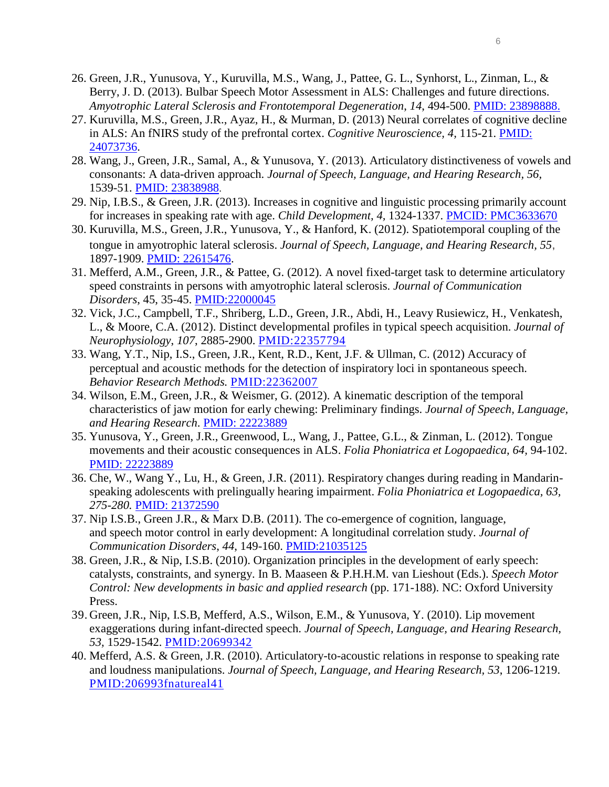- 26. Green, J.R., Yunusova, Y., Kuruvilla, M.S., Wang, J., Pattee, G. L., Synhorst, L., Zinman, L., & Berry, J. D. (2013). Bulbar Speech Motor Assessment in ALS: Challenges and future directions. *Amyotrophic Lateral Sclerosis and Frontotemporal Degeneration*, *14*, 494-500. [PMID: 23898888.](http://www.ncbi.nlm.nih.gov/pubmed/23898888)
- 27. Kuruvilla, M.S., Green, J.R., Ayaz, H., & Murman, D. (2013) Neural correlates of cognitive decline in ALS: An fNIRS study of the prefrontal cortex. *Cognitive Neuroscience, 4,* 115-21*.* [PMID:](http://www.ncbi.nlm.nih.gov/pubmed/?term=Neural+correlates+of+cognitive+decline+in+ALS%3A+An+fNIRS+study+of+the+prefrontal+cortex)  [24073736.](http://www.ncbi.nlm.nih.gov/pubmed/?term=Neural+correlates+of+cognitive+decline+in+ALS%3A+An+fNIRS+study+of+the+prefrontal+cortex)
- 28. Wang, J., Green, J.R., Samal, A., & Yunusova, Y. (2013). Articulatory distinctiveness of vowels and consonants: A data-driven approach. *Journal of Speech, Language, and Hearing Research, 56,*  1539-51. [PMID: 23838988.](http://www.ncbi.nlm.nih.gov/pubmed/?term=Articulatory+distinctiveness+of+vowels+and+consonants%3A+A+data-driven+approach)
- 29. Nip, I.B.S., & Green, J.R. (2013). Increases in cognitive and linguistic processing primarily account for increases in speaking rate with age. *Child Development, 4,* 1324-1337. [PMCID: PMC3633670](http://onlinelibrary.wiley.com/doi/10.1111/cdev.12052/abstract)
- 30. Kuruvilla, M.S., Green, J.R., Yunusova, Y., & Hanford, K. (2012). Spatiotemporal coupling of the tongue in amyotrophic lateral sclerosis. *Journal of Speech, Language, and Hearing Research, 55*, 1897-1909. [PMID: 22615476.](http://www.ncbi.nlm.nih.gov/pubmed/?term=Spatiotemporal+coupling+of+the+tongue+in+amyotrophic+lateral+sclerosis)
- 31. Mefferd, A.M., Green, J.R., & Pattee, G. (2012). A novel fixed-target task to determine articulatory speed constraints in persons with amyotrophic lateral sclerosis. *Journal of Communication Disorders*, 45, 35-45. [PMID:22000045](http://jslhr.asha.org/cgi/content/abstract/50/4/928)
- 32. Vick, J.C., Campbell, T.F., Shriberg, L.D., Green, J.R., Abdi, H., Leavy Rusiewicz, H., Venkatesh, L., & Moore, C.A. (2012). Distinct developmental profiles in typical speech acquisition. *Journal of Neurophysiology*, *107*, 2885-2900. [PMID:22357794](http://jslhr.asha.org/cgi/content/abstract/50/4/928)
- 33. Wang, Y.T., Nip, I.S., Green, J.R., Kent, R.D., Kent, J.F. & Ullman, C. (2012) Accuracy of perceptual and acoustic methods for the detection of inspiratory loci in spontaneous speech. *Behavior Research Methods.* [PMID:22362007](http://jslhr.asha.org/cgi/content/abstract/50/4/928)
- 34. Wilson, E.M., Green, J.R., & Weismer, G. (2012). A kinematic description of the temporal characteristics of jaw motion for early chewing: Preliminary findings. *Journal of Speech, Language, and Hearing Research*. [PMID: 22223889](http://www.ncbi.nlm.nih.gov/pubmed/22223889)
- 35. Yunusova, Y., Green, J.R., Greenwood, L., Wang, J., Pattee, G.L., & Zinman, L. (2012). Tongue movements and their acoustic consequences in ALS. *Folia Phoniatrica et Logopaedica, 64,* 94-102. [PMID: 22223889](http://www.ncbi.nlm.nih.gov/pubmed/22223889)
- 36. Che, W., Wang Y., Lu, H., & Green, J.R. (2011). Respiratory changes during reading in Mandarinspeaking adolescents with prelingually hearing impairment. *Folia Phoniatrica et Logopaedica, 63, 275-280.* PMID: 21372590
- 37. Nip I.S.B., Green J.R., & Marx D.B. (2011). [The co-emergence of cognition, language,](http://0-apps.isiknowledge.com.library.unl.edu/full_record.do?product=WOS&search_mode=GeneralSearch&qid=1&SID=4EJN9pfiCHmk6G23k6d&page=1&doc=1)  and speech [motor control in early development: A longitudinal correlation study.](http://0-apps.isiknowledge.com.library.unl.edu/full_record.do?product=WOS&search_mode=GeneralSearch&qid=1&SID=4EJN9pfiCHmk6G23k6d&page=1&doc=1) *Journal of Communication Disorders*, *44*, 149-160. [PMID:21035125](http://jslhr.asha.org/cgi/content/abstract/50/4/928)
- 38. Green, J.R., & Nip, I.S.B. (2010). Organization principles in the development of early speech: catalysts, constraints, and synergy. In B. Maaseen & P.H.H.M. van Lieshout (Eds.). *Speech Motor Control: New developments in basic and applied research* (pp. 171-188). NC: Oxford University Press.
- 39. Green, J.R., Nip, I.S.B, Mefferd, A.S., Wilson, E.M., & Yunusova, Y. (2010). Lip movement exaggerations during infant-directed speech. *Journal of Speech, Language, and Hearing Research, 53,* 1529-1542. [PMID:20699342](http://jslhr.asha.org/cgi/content/abstract/50/4/928)
- 40. Mefferd, A.S. & Green, J.R. (2010). Articulatory-to-acoustic relations in response to speaking rate and loudness manipulations. *Journal of Speech, Language, and Hearing Research, 53*, 1206-1219. [PMID:206993fnatureal41](http://jslhr.asha.org/cgi/content/abstract/50/4/928)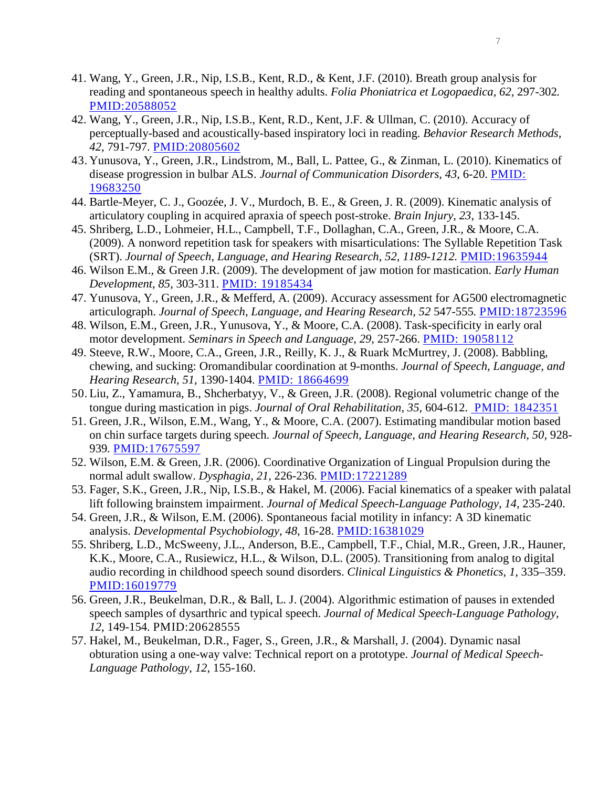- 41. Wang, Y., Green, J.R., Nip, I.S.B., Kent, R.D., & Kent, J.F. (2010). Breath group analysis for reading and spontaneous speech in healthy adults. *Folia Phoniatrica et Logopaedica, 62,* 297-302*.* [PMID:20588052](http://jslhr.asha.org/cgi/content/abstract/50/4/928)
- 42. Wang, Y., Green, J.R., Nip, I.S.B., Kent, R.D., Kent, J.F. & Ullman, C. (2010). Accuracy of perceptually-based and acoustically-based inspiratory loci in reading. *Behavior Research Methods, 42,* 791-797. [PMID:20805602](http://jslhr.asha.org/cgi/content/abstract/50/4/928)
- 43. Yunusova, Y., Green, J.R., Lindstrom, M., Ball, L. Pattee, G., & Zinman, L. (2010). Kinematics of disease progression in bulbar ALS. *Journal of Communication Disorders*, *43*, 6-20. PMID: 19683250
- 44. Bartle-Meyer, C. J., Goozée, J. V., Murdoch, B. E., & Green, J. R. (2009). Kinematic analysis of articulatory coupling in acquired apraxia of speech post-stroke. *Brain Injury*, *23*, 133-145.
- 45. Shriberg, L.D., Lohmeier, H.L., Campbell, T.F., Dollaghan, C.A., Green, J.R., & Moore, C.A. (2009). A nonword repetition task for speakers with misarticulations: The Syllable Repetition Task (SRT). *Journal of Speech, Language, and Hearing Research, 52, 1189-1212.* [PMID:19635944](http://jslhr.asha.org/cgi/content/abstract/50/4/928)
- 46. Wilson E.M., & Green J.R. (2009). The development of jaw motion for mastication. *Early Human Development*, *85*, 303-311. PMID: 19185434
- 47. Yunusova, Y., Green, J.R., & Mefferd, A. (2009). Accuracy assessment for AG500 electromagnetic articulograph. *Journal of Speech, Language, and Hearing Research, 52* 547-555*.* [PMID:18723596](http://jslhr.asha.org/cgi/content/abstract/50/4/928)
- 48. Wilson, E.M., Green, J.R., Yunusova, Y., & Moore, C.A. (2008). Task-specificity in early oral motor development. *Seminars in Speech and Language, 29,* 257-266. PMID: 19058112
- 49. Steeve, R.W., Moore, C.A., Green, J.R., Reilly, K. J., & Ruark McMurtrey, J. (2008). Babbling, chewing, and sucking: Oromandibular coordination at 9-months. *Journal of Speech, Language, and Hearing Research, 51,* 1390-1404. PMID: 18664699
- 50. Liu, Z., Yamamura, B., Shcherbatyy, V., & Green, J.R. (2008). Regional volumetric change of the tongue during mastication in pigs. *Journal of Oral Rehabilitation, 35,* 604-612. [PMID: 1842351](http://onlinelibrary.wiley.com/doi/10.1111/j.1365-2842.2008.01862.x/abstract)
- 51. Green, J.R., Wilson, E.M., Wang, Y., & Moore, C.A. (2007). Estimating mandibular motion based on chin surface targets during speech. *Journal of Speech, Language, and Hearing Research, 50, 928-*939*.* [PMID:17675597](http://jslhr.asha.org/cgi/content/abstract/50/4/928)
- 52. Wilson, E.M. & Green, J.R. (2006). Coordinative Organization of Lingual Propulsion during the normal adult swallow. *Dysphagia, 21*, 226-236. [PMID:17221289](http://jslhr.asha.org/cgi/content/abstract/50/4/928)
- 53. Fager, S.K., Green, J.R., Nip, I.S.B., & Hakel, M. (2006). Facial kinematics of a speaker with palatal lift following brainstem impairment. *Journal of Medical Speech-Language Pathology, 14,* 235-240.
- 54. Green, J.R., & Wilson, E.M. (2006). Spontaneous facial motility in infancy: A 3D kinematic analysis. *Developmental Psychobiology*, *48*, 16-28. [PMID:16381029](http://jslhr.asha.org/cgi/content/abstract/50/4/928)
- 55. Shriberg, L.D., McSweeny, J.L., Anderson, B.E., Campbell, T.F., Chial, M.R., Green, J.R., Hauner, K.K., Moore, C.A., Rusiewicz, H.L., & Wilson, D.L. (2005). Transitioning from analog to digital audio recording in childhood speech sound disorders. *Clinical Linguistics & Phonetics, 1,* 335–359. [PMID:16019779](http://jslhr.asha.org/cgi/content/abstract/50/4/928)
- 56. Green, J.R., Beukelman, D.R., & Ball, L. J. (2004). Algorithmic estimation of pauses in extended speech samples of dysarthric and typical speech. *Journal of Medical Speech-Language Pathology*, *12*, 149-154. PMID:20628555
- 57. Hakel, M., Beukelman, D.R., Fager, S., Green, J.R., & Marshall, J. (2004). Dynamic nasal obturation using a one-way valve: Technical report on a prototype. *Journal of Medical Speech-Language Pathology*, *12*, 155-160.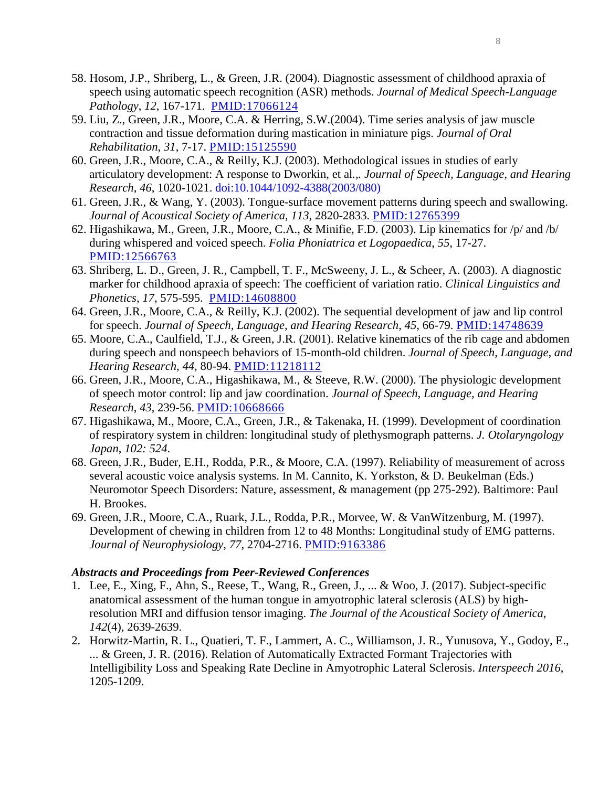- 58. Hosom, J.P., Shriberg, L., & Green, J.R. (2004). Diagnostic assessment of childhood apraxia of speech using automatic speech recognition (ASR) methods. *Journal of Medical Speech-Language Pathology*, *12*, 167-171. [PMID:17066124](http://jslhr.asha.org/cgi/content/abstract/50/4/928)
- 59. Liu, Z., Green, J.R., Moore, C.A. & Herring, S.W.(2004). Time series analysis of jaw muscle contraction and tissue deformation during mastication in miniature pigs. *Journal of Oral Rehabilitation*, *31*, 7-17. [PMID:15125590](http://jslhr.asha.org/cgi/content/abstract/50/4/928)
- 60. Green, J.R., Moore, C.A., & Reilly, K.J. (2003). Methodological issues in studies of early articulatory development: A response to Dworkin, et al*.,. Journal of Speech, Language, and Hearing Research*, *46*, 1020-1021. [doi:10.1044/1092-4388\(2003/080\)](http://jslhr.asha.org/cgi/reprint/46/4/1020)
- 61. Green, J.R., & Wang, Y. (2003). Tongue-surface movement patterns during speech and swallowing. *Journal of Acoustical Society of America*, *113*, 2820-2833. [PMID:12765399](http://jslhr.asha.org/cgi/content/abstract/50/4/928)
- 62. Higashikawa, M., Green, J.R., Moore, C.A., & Minifie, F.D. (2003). Lip kinematics for /p/ and /b/ during whispered and voiced speech. *Folia Phoniatrica et Logopaedica*, *55*, 17-27. [PMID:12566763](http://jslhr.asha.org/cgi/content/abstract/50/4/928)
- 63. Shriberg, L. D., Green, J. R., Campbell, T. F., McSweeny, J. L., & Scheer, A. (2003). A diagnostic marker for childhood apraxia of speech: The coefficient of variation ratio. *Clinical Linguistics and Phonetics*, *17*, 575-595. [PMID:14608800](http://jslhr.asha.org/cgi/content/abstract/50/4/928)
- 64. Green, J.R., Moore, C.A., & Reilly, K.J. (2002). The sequential development of jaw and lip control for speech. *Journal of Speech, Language, and Hearing Research*, *45*, 66-79. [PMID:14748639](http://jslhr.asha.org/cgi/content/abstract/50/4/928)
- 65. Moore, C.A., Caulfield, T.J., & Green, J.R. (2001). Relative kinematics of the rib cage and abdomen during speech and nonspeech behaviors of 15-month-old children. *Journal of Speech, Language, and Hearing Research*, *44*, 80-94. [PMID:11218112](http://jslhr.asha.org/cgi/content/abstract/50/4/928)
- 66. Green, J.R., Moore, C.A., Higashikawa, M., & Steeve, R.W. (2000). The physiologic development of speech motor control: lip and jaw coordination. *Journal of Speech, Language, and Hearing Research*, *43*, 239-56. [PMID:10668666](http://jslhr.asha.org/cgi/content/abstract/50/4/928)
- 67. Higashikawa, M., Moore, C.A., Green, J.R., & Takenaka, H. (1999). Development of coordination of respiratory system in children: longitudinal study of plethysmograph patterns. *J. Otolaryngology Japan*, *102: 524*.
- 68. Green, J.R., Buder, E.H., Rodda, P.R., & Moore, C.A. (1997). Reliability of measurement of across several acoustic voice analysis systems. In M. Cannito, K. Yorkston, & D. Beukelman (Eds.) Neuromotor Speech Disorders: Nature, assessment, & management (pp 275-292). Baltimore: Paul H. Brookes.
- 69. Green, J.R., Moore, C.A., Ruark, J.L., Rodda, P.R., Morvee, W. & VanWitzenburg, M. (1997). Development of chewing in children from 12 to 48 Months: Longitudinal study of EMG patterns. *Journal of Neurophysiology*, *77*, 2704-2716. [PMID:9163386](http://jslhr.asha.org/cgi/content/abstract/50/4/928)

#### *Abstracts and Proceedings from Peer-Reviewed Conferences*

- 1. Lee, E., Xing, F., Ahn, S., Reese, T., Wang, R., Green, J., ... & Woo, J. (2017). Subject-specific anatomical assessment of the human tongue in amyotrophic lateral sclerosis (ALS) by highresolution MRI and diffusion tensor imaging. *The Journal of the Acoustical Society of America*, *142*(4), 2639-2639.
- 2. Horwitz-Martin, R. L., Quatieri, T. F., Lammert, A. C., Williamson, J. R., Yunusova, Y., Godoy, E., ... & Green, J. R. (2016). Relation of Automatically Extracted Formant Trajectories with Intelligibility Loss and Speaking Rate Decline in Amyotrophic Lateral Sclerosis. *Interspeech 2016*, 1205-1209.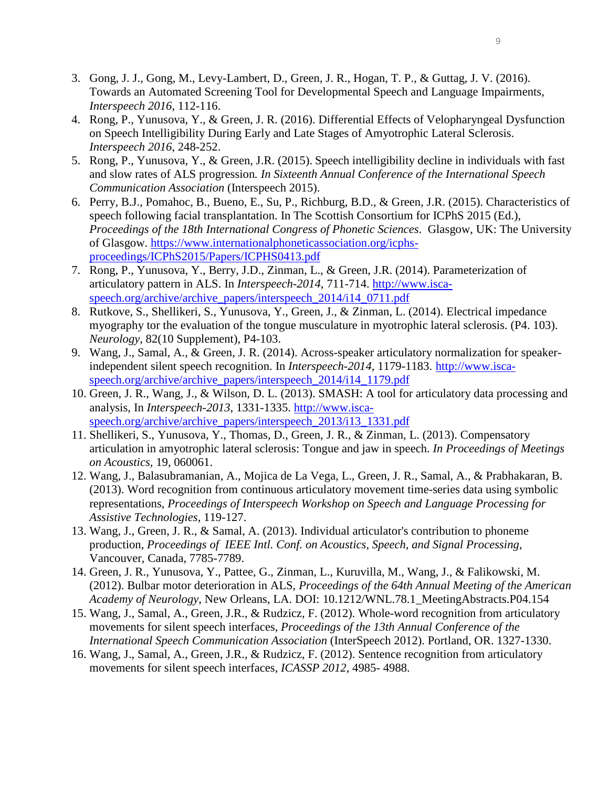- 3. Gong, J. J., Gong, M., Levy-Lambert, D., Green, J. R., Hogan, T. P., & Guttag, J. V. (2016). Towards an Automated Screening Tool for Developmental Speech and Language Impairments, *Interspeech 2016*, 112-116.
- 4. Rong, P., Yunusova, Y., & Green, J. R. (2016). Differential Effects of Velopharyngeal Dysfunction on Speech Intelligibility During Early and Late Stages of Amyotrophic Lateral Sclerosis. *Interspeech 2016*, 248-252.
- 5. Rong, P., Yunusova, Y., & Green, J.R. (2015). Speech intelligibility decline in individuals with fast and slow rates of ALS progression*. In Sixteenth Annual Conference of the International Speech Communication Association* (Interspeech 2015).
- 6. Perry, B.J., Pomahoc, B., Bueno, E., Su, P., Richburg, B.D., & Green, J.R. (2015). Characteristics of speech following facial transplantation. In The Scottish Consortium for ICPhS 2015 (Ed.), *Proceedings of the 18th International Congress of Phonetic Sciences*. Glasgow, UK: The University of Glasgow. [https://www.internationalphoneticassociation.org/icphs](https://www.internationalphoneticassociation.org/icphs-proceedings/ICPhS2015/Papers/ICPHS0413.pdf)[proceedings/ICPhS2015/Papers/ICPHS0413.pdf](https://www.internationalphoneticassociation.org/icphs-proceedings/ICPhS2015/Papers/ICPHS0413.pdf)
- 7. Rong, P., Yunusova, Y., Berry, J.D., Zinman, L., & Green, J.R. (2014). Parameterization of articulatory pattern in ALS. In *Interspeech-2014*, 711-714. [http://www.isca](http://www.isca-speech.org/archive/archive_papers/interspeech_2014/i14_0711.pdf)[speech.org/archive/archive\\_papers/interspeech\\_2014/i14\\_0711.pdf](http://www.isca-speech.org/archive/archive_papers/interspeech_2014/i14_0711.pdf)
- 8. Rutkove, S., Shellikeri, S., Yunusova, Y., Green, J., & Zinman, L. (2014). Electrical impedance myography tor the evaluation of the tongue musculature in myotrophic lateral sclerosis. (P4. 103). *Neurology*, 82(10 Supplement), P4-103.
- 9. Wang, J., Samal, A., & Green, J. R. (2014). Across-speaker articulatory normalization for speakerindependent silent speech recognition. In *Interspeech-2014,* 1179-1183. [http://www.isca](http://www.isca-speech.org/archive/archive_papers/interspeech_2014/i14_1179.pdf)[speech.org/archive/archive\\_papers/interspeech\\_2014/i14\\_1179.pdf](http://www.isca-speech.org/archive/archive_papers/interspeech_2014/i14_1179.pdf)
- 10. Green, J. R., Wang, J., & Wilson, D. L. (2013). SMASH: A tool for articulatory data processing and analysis, In *Interspeech-2013*, 1331-1335. [http://www.isca](http://www.isca-speech.org/archive/archive_papers/interspeech_2013/i13_1331.pdf)[speech.org/archive/archive\\_papers/interspeech\\_2013/i13\\_1331.pdf](http://www.isca-speech.org/archive/archive_papers/interspeech_2013/i13_1331.pdf)
- 11. Shellikeri, S., Yunusova, Y., Thomas, D., Green, J. R., & Zinman, L. (2013). Compensatory articulation in amyotrophic lateral sclerosis: Tongue and jaw in speech. *In Proceedings of Meetings on Acoustics*, 19, 060061.
- 12. Wang, J., Balasubramanian, A., Mojica de La Vega, L., Green, J. R., Samal, A., & Prabhakaran, B. (2013). Word recognition from continuous articulatory movement time-series data using symbolic representations, *Proceedings of Interspeech Workshop on Speech and Language Processing for Assistive Technologies*, 119-127.
- 13. Wang, J., Green, J. R., & Samal, A. (2013). Individual articulator's contribution to phoneme production, *Proceedings of IEEE Intl. Conf. on Acoustics, Speech, and Signal Processing*, Vancouver, Canada, 7785-7789.
- 14. Green, J. R., Yunusova, Y., Pattee, G., Zinman, L., Kuruvilla, M., Wang, J., & Falikowski, M. (2012). Bulbar motor deterioration in ALS, *Proceedings of the 64th Annual Meeting of the American Academy of Neurology*, New Orleans, LA. DOI: 10.1212/WNL.78.1\_MeetingAbstracts.P04.154
- 15. Wang, J., Samal, A., Green, J.R., & Rudzicz, F. (2012). Whole-word recognition from articulatory movements for silent speech interfaces, *Proceedings of the 13th Annual Conference of the International Speech Communication Association* (InterSpeech 2012). Portland, OR. 1327-1330.
- 16. Wang, J., Samal, A., Green, J.R., & Rudzicz, F. (2012). Sentence recognition from articulatory movements for silent speech interfaces, *ICASSP 2012*, 4985- 4988.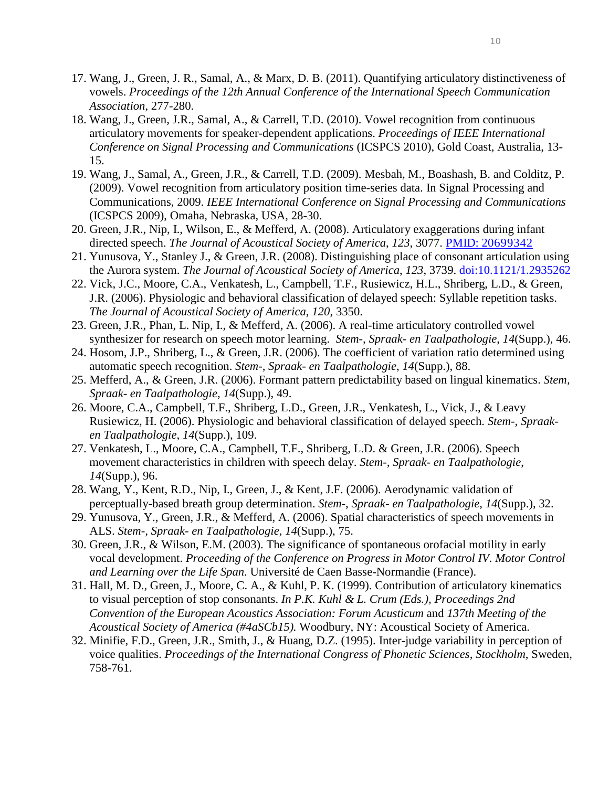- 17. Wang, J., Green, J. R., Samal, A., & Marx, D. B. (2011). Quantifying articulatory distinctiveness of vowels. *Proceedings of the 12th Annual Conference of the International Speech Communication Association*, 277-280.
- 18. Wang, J., Green, J.R., Samal, A., & Carrell, T.D. (2010). Vowel recognition from continuous articulatory movements for speaker-dependent applications. *Proceedings of IEEE International Conference on Signal Processing and Communications* (ICSPCS 2010), Gold Coast, Australia, 13- 15.
- 19. Wang, J., Samal, A., Green, J.R., & Carrell, T.D. (2009). Mesbah, M., Boashash, B. and Colditz, P. (2009). Vowel recognition from articulatory position time-series data. In Signal Processing and Communications, 2009. *IEEE International Conference on Signal Processing and Communications* (ICSPCS 2009), Omaha, Nebraska, USA, 28-30.
- 20. Green, J.R., Nip, I., Wilson, E., & Mefferd, A. (2008). Articulatory exaggerations during infant directed speech. *The Journal of Acoustical Society of America*, *123*, 3077. [PMID: 20699342](http://www.ncbi.nlm.nih.gov/pubmed/22223889)
- 21. [Yunusova, Y.](http://www.ncbi.nlm.nih.gov/sites/entrez?Db=pubmed&Cmd=Search&Term=%22Yunusova%20Y%22%5BAuthor%5D&itool=EntrezSystem2.PEntrez.Pubmed.Pubmed_ResultsPanel.Pubmed_DiscoveryPanel.Pubmed_RVAbstractPlus), [Stanley J.](http://www.ncbi.nlm.nih.gov/sites/entrez?Db=pubmed&Cmd=Search&Term=%22Stanley%20J%22%5BAuthor%5D&itool=EntrezSystem2.PEntrez.Pubmed.Pubmed_ResultsPanel.Pubmed_DiscoveryPanel.Pubmed_RVAbstractPlus), & [Green, J.R.](http://www.ncbi.nlm.nih.gov/sites/entrez?Db=pubmed&Cmd=Search&Term=%22Green%20JR%22%5BAuthor%5D&itool=EntrezSystem2.PEntrez.Pubmed.Pubmed_ResultsPanel.Pubmed_DiscoveryPanel.Pubmed_RVAbstractPlus) (2008). Distinguishing place of consonant articulation using the Aurora system. *The Journal of Acoustical Society of America*, *123*, 3739. [doi:10.1121/1.2935262](http://scitation.aip.org/getabs/servlet/GetabsServlet?prog=normal&id=JASMAN000123000005003739000001&idtype=cvips&gifs=yes)
- 22. Vick, J.C., Moore, C.A., Venkatesh, L., Campbell, T.F., Rusiewicz, H.L., Shriberg, L.D., & Green, J.R. (2006). Physiologic and behavioral classification of delayed speech: Syllable repetition tasks. *The Journal of Acoustical Society of America*, *120*, 3350.
- 23. Green, J.R., Phan, L. Nip, I., & Mefferd, A. (2006). A real-time articulatory controlled vowel synthesizer for research on speech motor learning. *Stem-, Spraak- en Taalpathologie*, *14*(Supp.), 46.
- 24. Hosom, J.P., Shriberg, L., & Green, J.R. (2006). The coefficient of variation ratio determined using automatic speech recognition. *Stem-, Spraak- en Taalpathologie*, *14*(Supp.), 88.
- 25. Mefferd, A., & Green, J.R. (2006). Formant pattern predictability based on lingual kinematics. *Stem, Spraak- en Taalpathologie*, *14*(Supp.), 49.
- 26. Moore, C.A., Campbell, T.F., Shriberg, L.D., Green, J.R., Venkatesh, L., Vick, J., & Leavy Rusiewicz, H. (2006). Physiologic and behavioral classification of delayed speech. *Stem-, Spraaken Taalpathologie*, *14*(Supp.), 109.
- 27. Venkatesh, L., Moore, C.A., Campbell, T.F., Shriberg, L.D. & Green, J.R. (2006). Speech movement characteristics in children with speech delay. *Stem-, Spraak- en Taalpathologie*, *14*(Supp.), 96.
- 28. Wang, Y., Kent, R.D., Nip, I., Green, J., & Kent, J.F. (2006). Aerodynamic validation of perceptually-based breath group determination. *Stem-, Spraak- en Taalpathologie*, *14*(Supp.), 32.
- 29. Yunusova, Y., Green, J.R., & Mefferd, A. (2006). Spatial characteristics of speech movements in ALS. *Stem-, Spraak- en Taalpathologie*, *14*(Supp.), 75.
- 30. Green, J.R., & Wilson, E.M. (2003). The significance of spontaneous orofacial motility in early vocal development. *Proceeding of the Conference on Progress in Motor Control IV. Motor Control and Learning over the Life Span*. Université de Caen Basse-Normandie (France).
- 31. Hall, M. D., Green, J., Moore, C. A., & Kuhl, P. K. (1999). Contribution of articulatory kinematics to visual perception of stop consonants. *In P.K. Kuhl & L. Crum (Eds.), Proceedings 2nd Convention of the European Acoustics Association: Forum Acusticum* and *137th Meeting of the Acoustical Society of America (#4aSCb15).* Woodbury, NY: Acoustical Society of America.
- 32. Minifie, F.D., Green, J.R., Smith, J., & Huang, D.Z. (1995). Inter-judge variability in perception of voice qualities. *Proceedings of the International Congress of Phonetic Sciences, Stockholm,* Sweden, 758-761.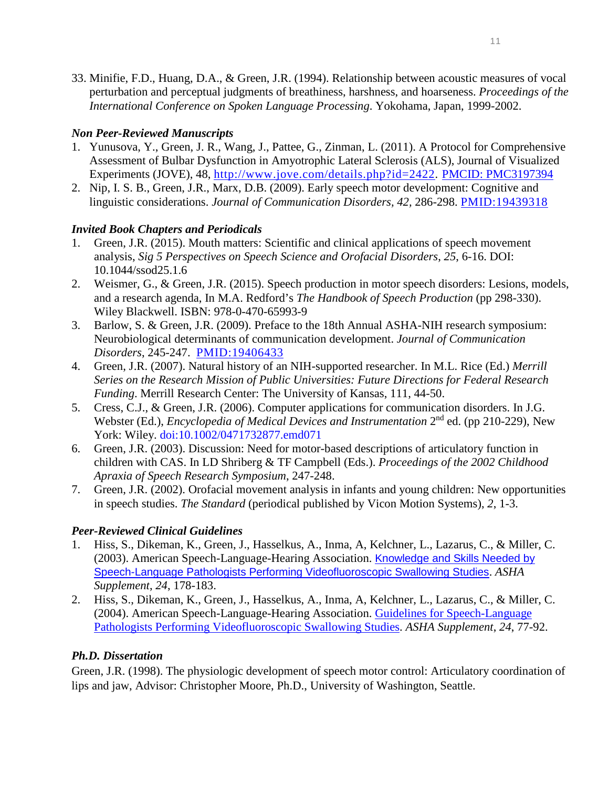33. Minifie, F.D., Huang, D.A., & Green, J.R. (1994). Relationship between acoustic measures of vocal perturbation and perceptual judgments of breathiness, harshness, and hoarseness. *Proceedings of the International Conference on Spoken Language Processing*. Yokohama, Japan, 1999-2002.

## *Non Peer-Reviewed Manuscripts*

- 1. Yunusova, Y., Green, J. R., Wang, J., Pattee, G., Zinman, L. (2011). A Protocol for Comprehensive Assessment of Bulbar Dysfunction in Amyotrophic Lateral Sclerosis (ALS), Journal of Visualized Experiments (JOVE), 48, [http://www.jove.com/details.php?id=2422.](http://www.jove.com/details.php?id=2422) [PMCID: PMC3197394](http://www.ncbi.nlm.nih.gov/pmc/articles/PMC3197394/#__ffn_sectitle)
- 2. Nip, I. S. B., Green, J.R., Marx, D.B. (2009). Early speech motor development: Cognitive and linguistic considerations. *Journal of Communication Disorders, 42,* 286-298. [PMID:19439318](http://jslhr.asha.org/cgi/content/abstract/50/4/928)

# *Invited Book Chapters and Periodicals*

- 1. Green, J.R. (2015). Mouth matters: Scientific and clinical applications of speech movement analysis, *Sig 5 Perspectives on Speech Science and Orofacial Disorders*, *25*, 6-16. DOI: 10.1044/ssod25.1.6
- 2. Weismer, G., & Green, J.R. (2015). Speech production in motor speech disorders: Lesions, models, and a research agenda, In M.A. Redford's *The Handbook of Speech Production* (pp 298-330). Wiley Blackwell. ISBN: 978-0-470-65993-9
- 3. Barlow, S. & Green, J.R. (2009). Preface to the 18th Annual ASHA-NIH research symposium: Neurobiological determinants of communication development. *Journal of Communication Disorders*, 245-247. [PMID:19406433](http://jslhr.asha.org/cgi/content/abstract/50/4/928)
- 4. Green, J.R. (2007). Natural history of an NIH-supported researcher. In M.L. Rice (Ed.) *Merrill Series on the Research Mission of Public Universities: Future Directions for Federal Research Funding*. Merrill Research Center: The University of Kansas, 111, 44-50.
- 5. Cress, C.J., & Green, J.R. (2006). Computer applications for communication disorders. In J.G. Webster (Ed.), *Encyclopedia of Medical Devices and Instrumentation* 2<sup>nd</sup> ed. (pp 210-229), New York: Wiley. [doi:10.1002/0471732877.emd071](http://onlinelibrary.wiley.com/doi/10.1002/0471732877.emd071/abstract)
- 6. Green, J.R. (2003). Discussion: Need for motor-based descriptions of articulatory function in children with CAS. In LD Shriberg & TF Campbell (Eds.). *Proceedings of the 2002 Childhood Apraxia of Speech Research Symposium*, 247-248.
- 7. Green, J.R. (2002). Orofacial movement analysis in infants and young children: New opportunities in speech studies. *The Standard* (periodical published by Vicon Motion Systems), *2*, 1-3.

# *Peer-Reviewed Clinical Guidelines*

- 1. Hiss, S., Dikeman, K., Green, J., Hasselkus, A., Inma, A, Kelchner, L., Lazarus, C., & Miller, C. (2003). American Speech-Language-Hearing Association. [Knowledge and Skills Needed by](http://www.asha.org/policy/KS2004-00076/)  [Speech-Language Pathologists Performing Videofluoroscopic Swallowing Studies](http://www.asha.org/policy/KS2004-00076/). *ASHA Supplement*, *24*, 178-183.
- 2. Hiss, S., Dikeman, K., Green, J., Hasselkus, A., Inma, A, Kelchner, L., Lazarus, C., & Miller, C. (2004). American Speech-Language-Hearing Association. [Guidelines for Speech-Language](http://www.asha.org/policy/GL2004-00050/)  [Pathologists Performing Videofluoroscopic Swallowing Studies.](http://www.asha.org/policy/GL2004-00050/) *ASHA Supplement*, *24*, 77-92.

## *Ph.D. Dissertation*

Green, J.R. (1998). The physiologic development of speech motor control: Articulatory coordination of lips and jaw, Advisor: Christopher Moore, Ph.D., University of Washington, Seattle.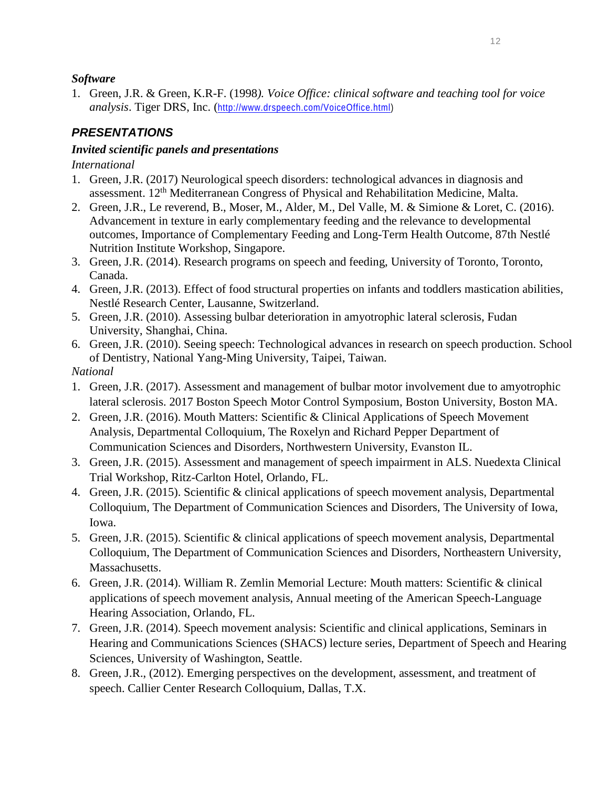#### *Software*

1. Green, J.R. & Green, K.R-F. (1998*). Voice Office: clinical software and teaching tool for voice analysis*. Tiger DRS, Inc. ([http://www.drspeech.com/VoiceOffice.html\)](http://www.drspeech.com/VoiceOffice.html)

# *PRESENTATIONS*

## *Invited scientific panels and presentations*

*International*

- 1. Green, J.R. (2017) Neurological speech disorders: technological advances in diagnosis and assessment. 12th Mediterranean Congress of Physical and Rehabilitation Medicine, Malta.
- 2. Green, J.R., Le reverend, B., Moser, M., Alder, M., Del Valle, M. & Simione & Loret, C. (2016). Advancement in texture in early complementary feeding and the relevance to developmental outcomes, Importance of Complementary Feeding and Long-Term Health Outcome, 87th Nestlé Nutrition Institute Workshop, Singapore.
- 3. Green, J.R. (2014). Research programs on speech and feeding, University of Toronto, Toronto, Canada.
- 4. Green, J.R. (2013). Effect of food structural properties on infants and toddlers mastication abilities, Nestlé Research Center, Lausanne, Switzerland.
- 5. Green, J.R. (2010). Assessing bulbar deterioration in amyotrophic lateral sclerosis, Fudan University, Shanghai, China.
- 6. Green, J.R. (2010). Seeing speech: Technological advances in research on speech production. School of Dentistry, National Yang-Ming University, Taipei, Taiwan.

*National*

- 1. Green, J.R. (2017). Assessment and management of bulbar motor involvement due to amyotrophic lateral sclerosis. 2017 Boston Speech Motor Control Symposium, Boston University, Boston MA.
- 2. Green, J.R. (2016). Mouth Matters: Scientific & Clinical Applications of Speech Movement Analysis, Departmental Colloquium, The Roxelyn and Richard Pepper Department of Communication Sciences and Disorders, Northwestern University, Evanston IL.
- 3. Green, J.R. (2015). Assessment and management of speech impairment in ALS. Nuedexta Clinical Trial Workshop, Ritz-Carlton Hotel, Orlando, FL.
- 4. Green, J.R. (2015). Scientific & clinical applications of speech movement analysis, Departmental Colloquium, The Department of Communication Sciences and Disorders, The University of Iowa, Iowa.
- 5. Green, J.R. (2015). Scientific & clinical applications of speech movement analysis, Departmental Colloquium, The Department of Communication Sciences and Disorders, Northeastern University, Massachusetts.
- 6. Green, J.R. (2014). William R. Zemlin Memorial Lecture: Mouth matters: Scientific & clinical applications of speech movement analysis, Annual meeting of the American Speech-Language Hearing Association, Orlando, FL.
- 7. Green, J.R. (2014). Speech movement analysis: Scientific and clinical applications, Seminars in Hearing and Communications Sciences (SHACS) lecture series, Department of Speech and Hearing Sciences, University of Washington, Seattle.
- 8. Green, J.R., (2012). Emerging perspectives on the development, assessment, and treatment of speech. Callier Center Research Colloquium, Dallas, T.X.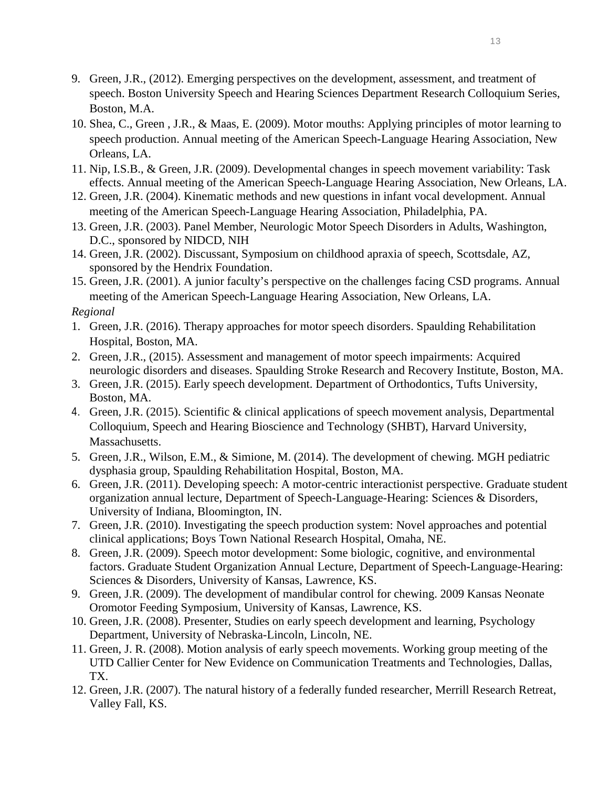- 9. Green, J.R., (2012). Emerging perspectives on the development, assessment, and treatment of speech. Boston University Speech and Hearing Sciences Department Research Colloquium Series, Boston, M.A.
- 10. Shea, C., Green , J.R., & Maas, E. (2009). Motor mouths: Applying principles of motor learning to speech production. Annual meeting of the American Speech-Language Hearing Association, New Orleans, LA.
- 11. Nip, I.S.B., & Green, J.R. (2009). Developmental changes in speech movement variability: Task effects. Annual meeting of the American Speech-Language Hearing Association, New Orleans, LA.
- 12. Green, J.R. (2004). Kinematic methods and new questions in infant vocal development. Annual meeting of the American Speech-Language Hearing Association, Philadelphia, PA.
- 13. Green, J.R. (2003). Panel Member, Neurologic Motor Speech Disorders in Adults, Washington, D.C., sponsored by NIDCD, NIH
- 14. Green, J.R. (2002). Discussant, Symposium on childhood apraxia of speech, Scottsdale, AZ, sponsored by the Hendrix Foundation.
- 15. Green, J.R. (2001). A junior faculty's perspective on the challenges facing CSD programs. Annual meeting of the American Speech-Language Hearing Association, New Orleans, LA.

#### *Regional*

- 1. Green, J.R. (2016). Therapy approaches for motor speech disorders. Spaulding Rehabilitation Hospital, Boston, MA.
- 2. Green, J.R., (2015). Assessment and management of motor speech impairments: Acquired neurologic disorders and diseases. Spaulding Stroke Research and Recovery Institute, Boston, MA.
- 3. Green, J.R. (2015). Early speech development. Department of Orthodontics, Tufts University, Boston, MA.
- 4. Green, J.R. (2015). Scientific & clinical applications of speech movement analysis, Departmental Colloquium, Speech and Hearing Bioscience and Technology (SHBT), Harvard University, Massachusetts.
- 5. Green, J.R., Wilson, E.M., & Simione, M. (2014). The development of chewing. MGH pediatric dysphasia group, Spaulding Rehabilitation Hospital, Boston, MA.
- 6. Green, J.R. (2011). Developing speech: A motor-centric interactionist perspective. Graduate student organization annual lecture, Department of Speech-Language-Hearing: Sciences & Disorders, University of Indiana, Bloomington, IN.
- 7. Green, J.R. (2010). Investigating the speech production system: Novel approaches and potential clinical applications; Boys Town National Research Hospital, Omaha, NE.
- 8. Green, J.R. (2009). Speech motor development: Some biologic, cognitive, and environmental factors. Graduate Student Organization Annual Lecture, Department of Speech-Language-Hearing: Sciences & Disorders, University of Kansas, Lawrence, KS.
- 9. Green, J.R. (2009). The development of mandibular control for chewing. 2009 Kansas Neonate Oromotor Feeding Symposium, University of Kansas, Lawrence, KS.
- 10. Green, J.R. (2008). Presenter, Studies on early speech development and learning, Psychology Department, University of Nebraska-Lincoln, Lincoln, NE.
- 11. Green, J. R. (2008). Motion analysis of early speech movements. Working group meeting of the UTD Callier Center for New Evidence on Communication Treatments and Technologies, Dallas, TX.
- 12. Green, J.R. (2007). The natural history of a federally funded researcher, Merrill Research Retreat, Valley Fall, KS.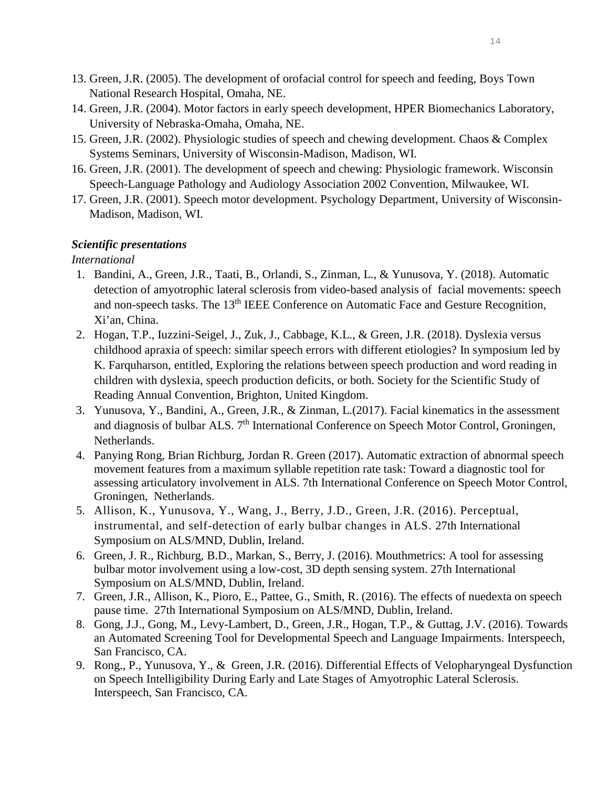- 13. Green, J.R. (2005). The development of orofacial control for speech and feeding, Boys Town National Research Hospital, Omaha, NE.
- 14. Green, J.R. (2004). Motor factors in early speech development, HPER Biomechanics Laboratory, University of Nebraska-Omaha, Omaha, NE.
- 15. Green, J.R. (2002). Physiologic studies of speech and chewing development. Chaos & Complex Systems Seminars, University of Wisconsin-Madison, Madison, WI.
- 16. Green, J.R. (2001). The development of speech and chewing: Physiologic framework. Wisconsin Speech-Language Pathology and Audiology Association 2002 Convention, Milwaukee, WI.
- 17. Green, J.R. (2001). Speech motor development. Psychology Department, University of Wisconsin-Madison, Madison, WI.

## *Scientific presentations*

*International*

- 1. Bandini, A., Green, J.R., Taati, B., Orlandi, S., Zinman, L., & Yunusova, Y. (2018). Automatic detection of amyotrophic lateral sclerosis from video-based analysis of facial movements: speech and non-speech tasks. The 13<sup>th</sup> IEEE Conference on Automatic Face and Gesture Recognition, Xi'an, China.
- 2. Hogan, T.P., Iuzzini-Seigel, J., Zuk, J., Cabbage, K.L., & Green, J.R. (2018). Dyslexia versus childhood apraxia of speech: similar speech errors with different etiologies? In symposium led by K. Farquharson, entitled, Exploring the relations between speech production and word reading in children with dyslexia, speech production deficits, or both. Society for the Scientific Study of Reading Annual Convention, Brighton, United Kingdom.
- 3. Yunusova, Y., Bandini, A., Green, J.R., & Zinman, L.(2017). Facial kinematics in the assessment and diagnosis of bulbar ALS. 7<sup>th</sup> International Conference on Speech Motor Control, Groningen, Netherlands.
- 4. Panying Rong, Brian Richburg, Jordan R. Green (2017). Automatic extraction of abnormal speech movement features from a maximum syllable repetition rate task: Toward a diagnostic tool for assessing articulatory involvement in ALS. 7th International Conference on Speech Motor Control, Groningen, Netherlands.
- 5. Allison, K., Yunusova, Y., Wang, J., Berry, J.D., Green, J.R. (2016). Perceptual, instrumental, and self-detection of early bulbar changes in ALS. 27th International Symposium on ALS/MND, Dublin, Ireland.
- 6. Green, J. R., Richburg, B.D., Markan, S., Berry, J. (2016). Mouthmetrics: A tool for assessing bulbar motor involvement using a low-cost, 3D depth sensing system. 27th International Symposium on ALS/MND, Dublin, Ireland.
- 7. Green, J.R., Allison, K., Pioro, E., Pattee, G., Smith, R. (2016). The effects of nuedexta on speech pause time. 27th International Symposium on ALS/MND, Dublin, Ireland.
- 8. Gong, J.J., Gong, M., Levy-Lambert, D., Green, J.R., Hogan, T.P., & Guttag, J.V. (2016). Towards an Automated Screening Tool for Developmental Speech and Language Impairments. Interspeech, San Francisco, CA.
- 9. Rong., P., Yunusova, Y., & Green, J.R. (2016). Differential Effects of Velopharyngeal Dysfunction on Speech Intelligibility During Early and Late Stages of Amyotrophic Lateral Sclerosis. Interspeech, San Francisco, CA.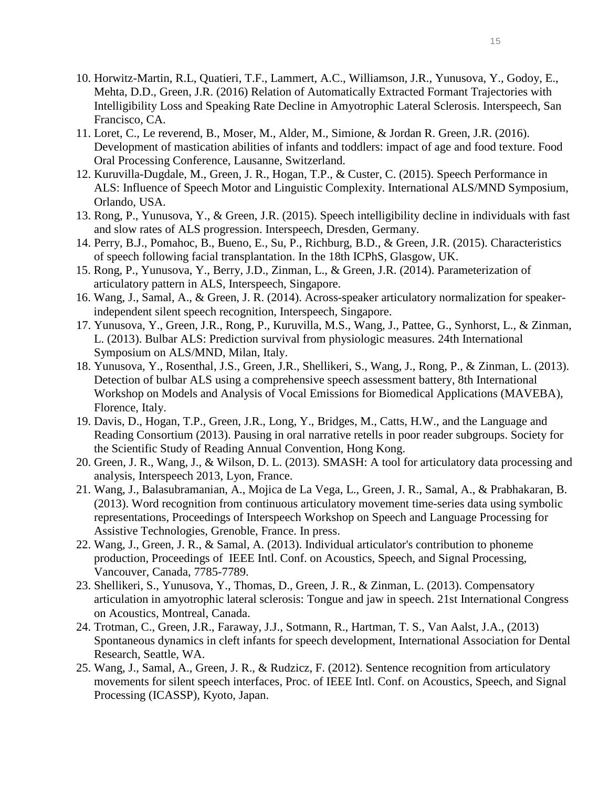- 10. Horwitz-Martin, R.L, Quatieri, T.F., Lammert, A.C., Williamson, J.R., Yunusova, Y., Godoy, E., Mehta, D.D., Green, J.R. (2016) Relation of Automatically Extracted Formant Trajectories with Intelligibility Loss and Speaking Rate Decline in Amyotrophic Lateral Sclerosis. Interspeech, San Francisco, CA.
- 11. Loret, C., Le reverend, B., Moser, M., Alder, M., Simione, & Jordan R. Green, J.R. (2016). Development of mastication abilities of infants and toddlers: impact of age and food texture. Food Oral Processing Conference, Lausanne, Switzerland.
- 12. Kuruvilla-Dugdale, M., Green, J. R., Hogan, T.P., & Custer, C. (2015). Speech Performance in ALS: Influence of Speech Motor and Linguistic Complexity. International ALS/MND Symposium, Orlando, USA.
- 13. Rong, P., Yunusova, Y., & Green, J.R. (2015). Speech intelligibility decline in individuals with fast and slow rates of ALS progression. Interspeech, Dresden, Germany.
- 14. Perry, B.J., Pomahoc, B., Bueno, E., Su, P., Richburg, B.D., & Green, J.R. (2015). Characteristics of speech following facial transplantation. In the 18th ICPhS, Glasgow, UK.
- 15. Rong, P., Yunusova, Y., Berry, J.D., Zinman, L., & Green, J.R. (2014). Parameterization of articulatory pattern in ALS, Interspeech, Singapore.
- 16. Wang, J., Samal, A., & Green, J. R. (2014). Across-speaker articulatory normalization for speakerindependent silent speech recognition, Interspeech, Singapore.
- 17. Yunusova, Y., Green, J.R., Rong, P., Kuruvilla, M.S., Wang, J., Pattee, G., Synhorst, L., & Zinman, L. (2013). Bulbar ALS: Prediction survival from physiologic measures. 24th International Symposium on ALS/MND, Milan, Italy.
- 18. Yunusova, Y., Rosenthal, J.S., Green, J.R., Shellikeri, S., Wang, J., Rong, P., & Zinman, L. (2013). Detection of bulbar ALS using a comprehensive speech assessment battery, 8th International Workshop on Models and Analysis of Vocal Emissions for Biomedical Applications (MAVEBA), Florence, Italy.
- 19. Davis, D., Hogan, T.P., Green, J.R., Long, Y., Bridges, M., Catts, H.W., and the Language and Reading Consortium (2013). Pausing in oral narrative retells in poor reader subgroups. Society for the Scientific Study of Reading Annual Convention, Hong Kong.
- 20. Green, J. R., Wang, J., & Wilson, D. L. (2013). SMASH: A tool for articulatory data processing and analysis, Interspeech 2013, Lyon, France.
- 21. Wang, J., Balasubramanian, A., Mojica de La Vega, L., Green, J. R., Samal, A., & Prabhakaran, B. (2013). Word recognition from continuous articulatory movement time-series data using symbolic representations, Proceedings of Interspeech Workshop on Speech and Language Processing for Assistive Technologies, Grenoble, France. In press.
- 22. Wang, J., Green, J. R., & Samal, A. (2013). Individual articulator's contribution to phoneme production, Proceedings of IEEE Intl. Conf. on Acoustics, Speech, and Signal Processing, Vancouver, Canada, 7785-7789.
- 23. Shellikeri, S., Yunusova, Y., Thomas, D., Green, J. R., & Zinman, L. (2013). Compensatory articulation in amyotrophic lateral sclerosis: Tongue and jaw in speech. 21st International Congress on Acoustics, Montreal, Canada.
- 24. Trotman, C., Green, J.R., Faraway, J.J., Sotmann, R., Hartman, T. S., Van Aalst, J.A., (2013) Spontaneous dynamics in cleft infants for speech development, International Association for Dental Research, Seattle, WA.
- 25. Wang, J., Samal, A., Green, J. R., & Rudzicz, F. (2012). Sentence recognition from articulatory movements for silent speech interfaces, Proc. of IEEE Intl. Conf. on Acoustics, Speech, and Signal Processing (ICASSP), Kyoto, Japan.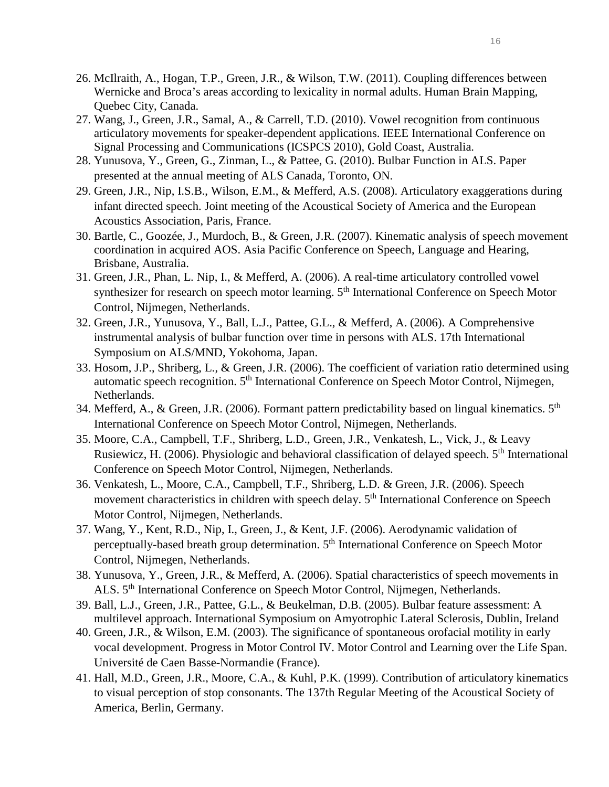- 26. McIlraith, A., Hogan, T.P., Green, J.R., & Wilson, T.W. (2011). Coupling differences between Wernicke and Broca's areas according to lexicality in normal adults. Human Brain Mapping, Quebec City, Canada.
- 27. Wang, J., Green, J.R., Samal, A., & Carrell, T.D. (2010). Vowel recognition from continuous articulatory movements for speaker-dependent applications. IEEE International Conference on Signal Processing and Communications (ICSPCS 2010), Gold Coast, Australia.
- 28. Yunusova, Y., Green, G., Zinman, L., & Pattee, G. (2010). Bulbar Function in ALS. Paper presented at the annual meeting of ALS Canada, Toronto, ON.
- 29. Green, J.R., Nip, I.S.B., Wilson, E.M., & Mefferd, A.S. (2008). Articulatory exaggerations during infant directed speech. Joint meeting of the Acoustical Society of America and the European Acoustics Association, Paris, France.
- 30. Bartle, C., Goozée, J., Murdoch, B., & Green, J.R. (2007). Kinematic analysis of speech movement coordination in acquired AOS. Asia Pacific Conference on Speech, Language and Hearing, Brisbane, Australia.
- 31. Green, J.R., Phan, L. Nip, I., & Mefferd, A. (2006). A real-time articulatory controlled vowel synthesizer for research on speech motor learning. 5<sup>th</sup> International Conference on Speech Motor Control, Nijmegen, Netherlands.
- 32. Green, J.R., Yunusova, Y., Ball, L.J., Pattee, G.L., & Mefferd, A. (2006). A Comprehensive instrumental analysis of bulbar function over time in persons with ALS. 17th International Symposium on ALS/MND, Yokohoma, Japan.
- 33. Hosom, J.P., Shriberg, L., & Green, J.R. (2006). The coefficient of variation ratio determined using automatic speech recognition. 5<sup>th</sup> International Conference on Speech Motor Control, Nijmegen, Netherlands.
- 34. Mefferd, A., & Green, J.R. (2006). Formant pattern predictability based on lingual kinematics. 5<sup>th</sup> International Conference on Speech Motor Control, Nijmegen, Netherlands.
- 35. Moore, C.A., Campbell, T.F., Shriberg, L.D., Green, J.R., Venkatesh, L., Vick, J., & Leavy Rusiewicz, H. (2006). Physiologic and behavioral classification of delayed speech. 5<sup>th</sup> International Conference on Speech Motor Control, Nijmegen, Netherlands.
- 36. Venkatesh, L., Moore, C.A., Campbell, T.F., Shriberg, L.D. & Green, J.R. (2006). Speech movement characteristics in children with speech delay. 5<sup>th</sup> International Conference on Speech Motor Control, Nijmegen, Netherlands.
- 37. Wang, Y., Kent, R.D., Nip, I., Green, J., & Kent, J.F. (2006). Aerodynamic validation of perceptually-based breath group determination. 5th International Conference on Speech Motor Control, Nijmegen, Netherlands.
- 38. Yunusova, Y., Green, J.R., & Mefferd, A. (2006). Spatial characteristics of speech movements in ALS. 5th International Conference on Speech Motor Control, Nijmegen, Netherlands.
- 39. Ball, L.J., Green, J.R., Pattee, G.L., & Beukelman, D.B. (2005). Bulbar feature assessment: A multilevel approach. International Symposium on Amyotrophic Lateral Sclerosis, Dublin, Ireland
- 40. Green, J.R., & Wilson, E.M. (2003). The significance of spontaneous orofacial motility in early vocal development. Progress in Motor Control IV. Motor Control and Learning over the Life Span. Université de Caen Basse-Normandie (France).
- 41. Hall, M.D., Green, J.R., Moore, C.A., & Kuhl, P.K. (1999). Contribution of articulatory kinematics to visual perception of stop consonants. The 137th Regular Meeting of the Acoustical Society of America, Berlin, Germany.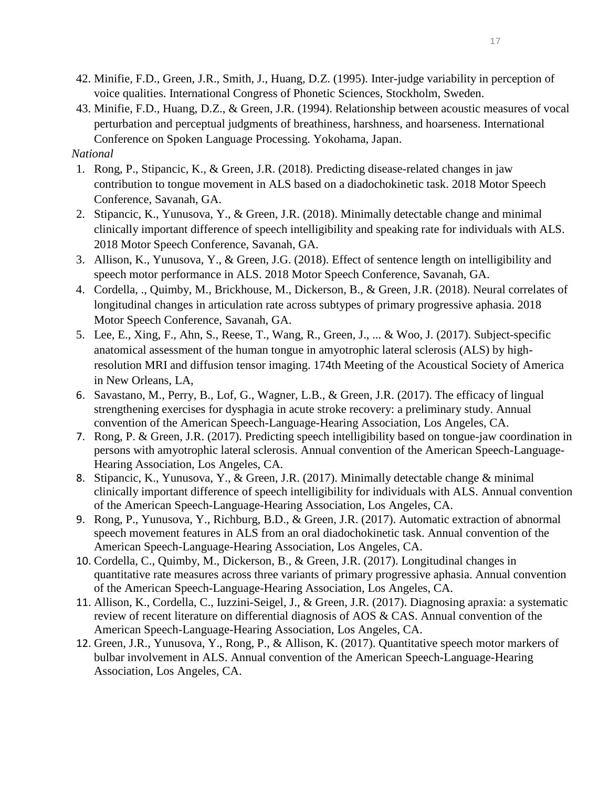- 42. Minifie, F.D., Green, J.R., Smith, J., Huang, D.Z. (1995). Inter-judge variability in perception of voice qualities. International Congress of Phonetic Sciences, Stockholm, Sweden.
- 43. Minifie, F.D., Huang, D.Z., & Green, J.R. (1994). Relationship between acoustic measures of vocal perturbation and perceptual judgments of breathiness, harshness, and hoarseness. International Conference on Spoken Language Processing. Yokohama, Japan.

## *National*

- 1. Rong, P., Stipancic, K., & Green, J.R. (2018). Predicting disease-related changes in jaw contribution to tongue movement in ALS based on a diadochokinetic task. 2018 Motor Speech Conference, Savanah, GA.
- 2. Stipancic, K., Yunusova, Y., & Green, J.R. (2018). Minimally detectable change and minimal clinically important difference of speech intelligibility and speaking rate for individuals with ALS. 2018 Motor Speech Conference, Savanah, GA.
- 3. Allison, K., Yunusova, Y., & Green, J.G. (2018). Effect of sentence length on intelligibility and speech motor performance in ALS. 2018 Motor Speech Conference, Savanah, GA.
- 4. Cordella, ., Quimby, M., Brickhouse, M., Dickerson, B., & Green, J.R. (2018). Neural correlates of longitudinal changes in articulation rate across subtypes of primary progressive aphasia. 2018 Motor Speech Conference, Savanah, GA.
- 5. Lee, E., Xing, F., Ahn, S., Reese, T., Wang, R., Green, J., ... & Woo, J. (2017). Subject-specific anatomical assessment of the human tongue in amyotrophic lateral sclerosis (ALS) by highresolution MRI and diffusion tensor imaging. 174th Meeting of the Acoustical Society of America in New Orleans, LA,
- 6. Savastano, M., Perry, B., Lof, G., Wagner, L.B., & Green, J.R. (2017). The efficacy of lingual strengthening exercises for dysphagia in acute stroke recovery: a preliminary study. Annual convention of the American Speech-Language-Hearing Association, Los Angeles, CA.
- 7. Rong, P. & Green, J.R. (2017). Predicting speech intelligibility based on tongue-jaw coordination in persons with amyotrophic lateral sclerosis. Annual convention of the American Speech-Language-Hearing Association, Los Angeles, CA.
- 8. Stipancic, K., Yunusova, Y., & Green, J.R. (2017). Minimally detectable change & minimal clinically important difference of speech intelligibility for individuals with ALS. Annual convention of the American Speech-Language-Hearing Association, Los Angeles, CA.
- 9. Rong, P., Yunusova, Y., Richburg, B.D., & Green, J.R. (2017). Automatic extraction of abnormal speech movement features in ALS from an oral diadochokinetic task. Annual convention of the American Speech-Language-Hearing Association, Los Angeles, CA.
- 10. Cordella, C., Quimby, M., Dickerson, B., & Green, J.R. (2017). Longitudinal changes in quantitative rate measures across three variants of primary progressive aphasia. Annual convention of the American Speech-Language-Hearing Association, Los Angeles, CA.
- 11. Allison, K., Cordella, C., Iuzzini-Seigel, J., & Green, J.R. (2017). Diagnosing apraxia: a systematic review of recent literature on differential diagnosis of AOS & CAS. Annual convention of the American Speech-Language-Hearing Association, Los Angeles, CA.
- 12. Green, J.R., Yunusova, Y., Rong, P., & Allison, K. (2017). Quantitative speech motor markers of bulbar involvement in ALS. Annual convention of the American Speech-Language-Hearing Association, Los Angeles, CA.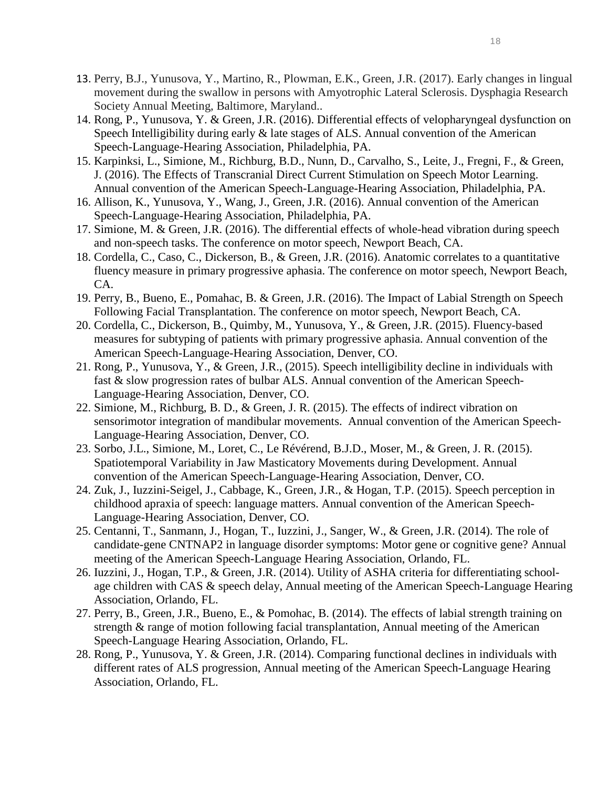- 13. Perry, B.J., Yunusova, Y., Martino, R., Plowman, E.K., Green, J.R. (2017). Early changes in lingual movement during the swallow in persons with Amyotrophic Lateral Sclerosis. Dysphagia Research Society Annual Meeting, Baltimore, Maryland..
- 14. Rong, P., Yunusova, Y. & Green, J.R. (2016). Differential effects of velopharyngeal dysfunction on Speech Intelligibility during early & late stages of ALS. Annual convention of the American Speech-Language-Hearing Association, Philadelphia, PA.
- 15. Karpinksi, L., Simione, M., Richburg, B.D., Nunn, D., Carvalho, S., Leite, J., Fregni, F., & Green, J. (2016). The Effects of Transcranial Direct Current Stimulation on Speech Motor Learning. Annual convention of the American Speech-Language-Hearing Association, Philadelphia, PA.
- 16. Allison, K., Yunusova, Y., Wang, J., Green, J.R. (2016). Annual convention of the American Speech-Language-Hearing Association, Philadelphia, PA.
- 17. Simione, M. & Green, J.R. (2016). The differential effects of whole-head vibration during speech and non-speech tasks. The conference on motor speech, Newport Beach, CA.
- 18. Cordella, C., Caso, C., Dickerson, B., & Green, J.R. (2016). Anatomic correlates to a quantitative fluency measure in primary progressive aphasia. The conference on motor speech, Newport Beach, CA.
- 19. Perry, B., Bueno, E., Pomahac, B. & Green, J.R. (2016). The Impact of Labial Strength on Speech Following Facial Transplantation. The conference on motor speech, Newport Beach, CA.
- 20. Cordella, C., Dickerson, B., Quimby, M., Yunusova, Y., & Green, J.R. (2015). Fluency-based measures for subtyping of patients with primary progressive aphasia. Annual convention of the American Speech-Language-Hearing Association, Denver, CO.
- 21. Rong, P., Yunusova, Y., & Green, J.R., (2015). Speech intelligibility decline in individuals with fast & slow progression rates of bulbar ALS. Annual convention of the American Speech-Language-Hearing Association, Denver, CO.
- 22. Simione, M., Richburg, B. D., & Green, J. R. (2015). The effects of indirect vibration on sensorimotor integration of mandibular movements. Annual convention of the American Speech-Language-Hearing Association, Denver, CO.
- 23. Sorbo, J.L., Simione, M., Loret, C., Le Révérend, B.J.D., Moser, M., & Green, J. R. (2015). Spatiotemporal Variability in Jaw Masticatory Movements during Development. Annual convention of the American Speech-Language-Hearing Association, Denver, CO.
- 24. Zuk, J., Iuzzini-Seigel, J., Cabbage, K., Green, J.R., & Hogan, T.P. (2015). Speech perception in childhood apraxia of speech: language matters. Annual convention of the American Speech-Language-Hearing Association, Denver, CO.
- 25. [Centanni,](http://submissions.mirasmart.com/ASHA2014/Itinerary/ItineraryAuthorBioDisclosure.aspx?aid=4480) T., Sanmann, J., Hogan, T., Iuzzini, J., Sanger, W., & Green, J.R. (2014). The role of candidate-gene CNTNAP2 in language disorder symptoms: Motor gene or cognitive gene? Annual meeting of the American Speech-Language Hearing Association, Orlando, FL.
- 26. Iuzzini, J., Hogan, T.P., & Green, J.R. (2014). Utility of ASHA criteria for differentiating schoolage children with CAS & speech delay, Annual meeting of the American Speech-Language Hearing Association, Orlando, FL.
- 27. Perry, B., Green, J.R., Bueno, E., & Pomohac, B. (2014). The effects of labial strength training on strength & range of motion following facial transplantation, Annual meeting of the American Speech-Language Hearing Association, Orlando, FL.
- 28. Rong, P., Yunusova, Y. & Green, J.R. (2014). Comparing functional declines in individuals with different rates of ALS progression, Annual meeting of the American Speech-Language Hearing Association, Orlando, FL.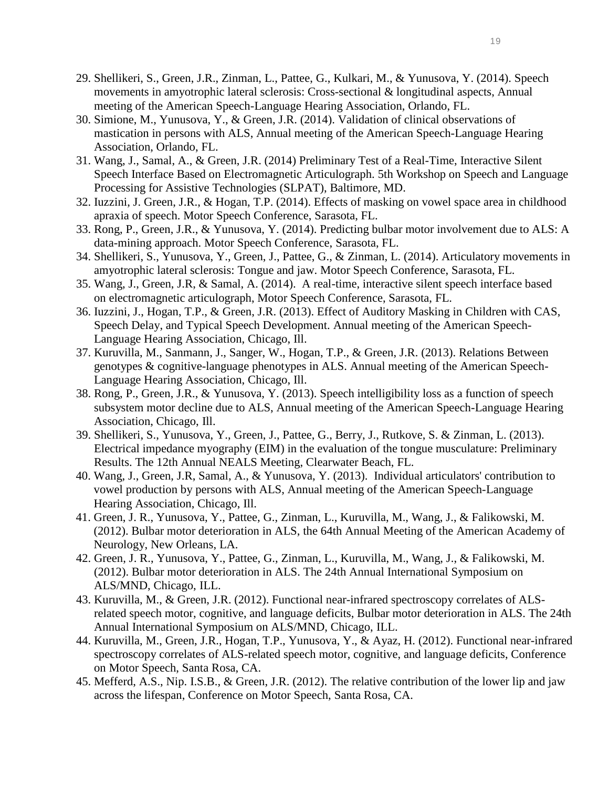- 29. Shellikeri, S., Green, J.R., Zinman, L., Pattee, G., Kulkari, M., & Yunusova, Y. (2014). Speech movements in amyotrophic lateral sclerosis: Cross-sectional & longitudinal aspects, Annual meeting of the American Speech-Language Hearing Association, Orlando, FL.
- 30. Simione, M., Yunusova, Y., & Green, J.R. (2014). Validation of clinical observations of mastication in persons with ALS, Annual meeting of the American Speech-Language Hearing Association, Orlando, FL.
- 31. Wang, J., Samal, A., & Green, J.R. (2014) Preliminary Test of a Real-Time, Interactive Silent Speech Interface Based on Electromagnetic Articulograph. 5th Workshop on Speech and Language Processing for Assistive Technologies (SLPAT), Baltimore, MD.
- 32. Iuzzini, J. Green, J.R., & Hogan, T.P. (2014). Effects of masking on vowel space area in childhood apraxia of speech. Motor Speech Conference, Sarasota, FL.
- 33. Rong, P., Green, J.R., & Yunusova, Y. (2014). Predicting bulbar motor involvement due to ALS: A data-mining approach. Motor Speech Conference, Sarasota, FL.
- 34. Shellikeri, S., Yunusova, Y., Green, J., Pattee, G., & Zinman, L. (2014). Articulatory movements in amyotrophic lateral sclerosis: Tongue and jaw. Motor Speech Conference, Sarasota, FL.
- 35. Wang, J., Green, J.R, & Samal, A. (2014). A real-time, interactive silent speech interface based on electromagnetic articulograph, Motor Speech Conference, Sarasota, FL.
- 36. Iuzzini, J., Hogan, T.P., & Green, J.R. (2013). Effect of Auditory Masking in Children with CAS, Speech Delay, and Typical Speech Development. Annual meeting of the American Speech-Language Hearing Association, Chicago, Ill.
- 37. Kuruvilla, M., Sanmann, J., Sanger, W., Hogan, T.P., & Green, J.R. (2013). Relations Between genotypes & cognitive-language phenotypes in ALS. Annual meeting of the American Speech-Language Hearing Association, Chicago, Ill.
- 38. Rong, P., Green, J.R., & Yunusova, Y. (2013). Speech intelligibility loss as a function of speech subsystem motor decline due to ALS, Annual meeting of the American Speech-Language Hearing Association, Chicago, Ill.
- 39. Shellikeri, S., Yunusova, Y., Green, J., Pattee, G., Berry, J., Rutkove, S. & Zinman, L. (2013). Electrical impedance myography (EIM) in the evaluation of the tongue musculature: Preliminary Results. The 12th Annual NEALS Meeting, Clearwater Beach, FL.
- 40. Wang, J., Green, J.R, Samal, A., & Yunusova, Y. (2013). Individual articulators' contribution to vowel production by persons with ALS, Annual meeting of the American Speech-Language Hearing Association, Chicago, Ill.
- 41. Green, J. R., Yunusova, Y., Pattee, G., Zinman, L., Kuruvilla, M., Wang, J., & Falikowski, M. (2012). Bulbar motor deterioration in ALS, the 64th Annual Meeting of the American Academy of Neurology, New Orleans, LA.
- 42. Green, J. R., Yunusova, Y., Pattee, G., Zinman, L., Kuruvilla, M., Wang, J., & Falikowski, M. (2012). Bulbar motor deterioration in ALS. The 24th Annual International Symposium on ALS/MND, Chicago, ILL.
- 43. Kuruvilla, M., & Green, J.R. (2012). [Functional near-infrared spectroscopy correlates of ALS](http://www.madonna.org/file_download/ae82fc20-5aff-406b-992b-9e4608b63953)[related speech motor, cognitive, and language deficits,](http://www.madonna.org/file_download/ae82fc20-5aff-406b-992b-9e4608b63953) Bulbar motor deterioration in ALS. The 24th Annual International Symposium on ALS/MND, Chicago, ILL.
- 44. Kuruvilla, M., Green, J.R., Hogan, T.P., Yunusova, Y., & Ayaz, H. (2012). [Functional near-infrared](http://www.madonna.org/file_download/ae82fc20-5aff-406b-992b-9e4608b63953)  [spectroscopy correlates of ALS-related speech motor, cognitive, and language deficits,](http://www.madonna.org/file_download/ae82fc20-5aff-406b-992b-9e4608b63953) Conference on Motor Speech, Santa Rosa, CA.
- 45. Mefferd, A.S., Nip. I.S.B., & Green, J.R. (2012). [The relative contribution of the lower lip and jaw](http://www.madonna.org/file_download/d2f3dcf4-e619-41cb-a260-ecb05a352bb5)  [across the lifespan,](http://www.madonna.org/file_download/d2f3dcf4-e619-41cb-a260-ecb05a352bb5) Conference on Motor Speech, Santa Rosa, CA.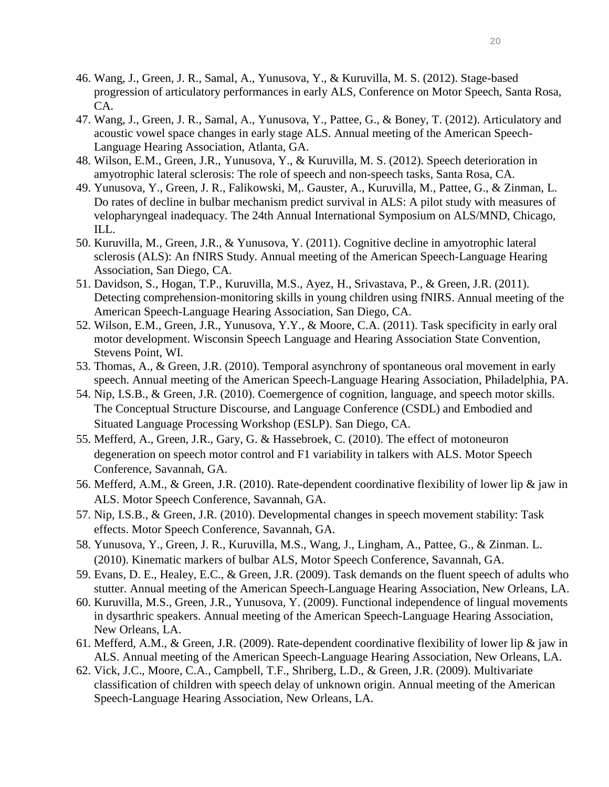- 46. Wang, J., Green, J. R., Samal, A., Yunusova, Y., & Kuruvilla, M. S. (2012). Stage-based progression of articulatory performances in early ALS, Conference on Motor Speech, Santa Rosa, CA.
- 47. Wang, J., Green, J. R., Samal, A., Yunusova, Y., Pattee, G., & Boney, T. (2012). Articulatory and acoustic vowel space changes in early stage ALS. Annual meeting of the American Speech-Language Hearing Association, Atlanta, GA.
- 48. Wilson, E.M., Green, J.R., Yunusova, Y., & Kuruvilla, M. S. (2012). Speech deterioration in amyotrophic lateral sclerosis: The role of speech and non-speech tasks, Santa Rosa, CA.
- 49. Yunusova, Y., Green, J. R., Falikowski, M,. Gauster, A., Kuruvilla, M., Pattee, G., & Zinman, L. Do rates of decline in bulbar mechanism predict survival in ALS: A pilot study with measures of velopharyngeal inadequacy. The 24th Annual International Symposium on ALS/MND, Chicago, ILL.
- 50. Kuruvilla, M., Green, J.R., & Yunusova, Y. (2011). Cognitive decline in amyotrophic lateral sclerosis (ALS): An fNIRS Study. Annual meeting of the American Speech-Language Hearing Association, San Diego, CA.
- 51. Davidson, S., Hogan, T.P., Kuruvilla, M.S., Ayez, H., Srivastava, P., & Green, J.R. (2011). Detecting comprehension-monitoring skills in young children using fNIRS. Annual meeting of the American Speech-Language Hearing Association, San Diego, CA.
- 52. Wilson, E.M., Green, J.R., Yunusova, Y.Y., & Moore, C.A. (2011). Task specificity in early oral motor development. Wisconsin Speech Language and Hearing Association State Convention, Stevens Point, WI.
- 53. Thomas, A., & Green, J.R. (2010). Temporal asynchrony of spontaneous oral movement in early speech. Annual meeting of the American Speech-Language Hearing Association, Philadelphia, PA.
- 54. Nip, I.S.B., & Green, J.R. (2010). Coemergence of cognition, language, and speech motor skills. [The Conceptual Structure Discourse, and Language Conference \(CSDL\)](http://wwwhomes.uni-bielefeld.de/pknoeferle/csdl_eslp/home.html) and Embodied and Situated Language Processing Workshop (ESLP). San Diego, CA.
- 55. Mefferd, A., Green, J.R., Gary, G. & Hassebroek, C. (2010). The effect of motoneuron degeneration on speech motor control and F1 variability in talkers with ALS. Motor Speech Conference, Savannah, GA.
- 56. Mefferd, A.M., & Green, J.R. (2010). Rate-dependent coordinative flexibility of lower lip & jaw in ALS. Motor Speech Conference, Savannah, GA.
- 57. Nip, I.S.B., & Green, J.R. (2010). Developmental changes in speech movement stability: Task effects. Motor Speech Conference, Savannah, GA.
- 58. Yunusova, Y., Green, J. R., Kuruvilla, M.S., Wang, J., Lingham, A., Pattee, G., & Zinman. L. (2010). Kinematic markers of bulbar ALS, Motor Speech Conference, Savannah, GA.
- 59. Evans, D. E., Healey, E.C., & Green, J.R. (2009). Task demands on the fluent speech of adults who stutter. Annual meeting of the American Speech-Language Hearing Association, New Orleans, LA.
- 60. Kuruvilla, M.S., Green, J.R., Yunusova, Y. (2009). Functional independence of lingual movements in dysarthric speakers. Annual meeting of the American Speech-Language Hearing Association, New Orleans, LA.
- 61. Mefferd, A.M., & Green, J.R. (2009). Rate-dependent coordinative flexibility of lower lip & jaw in ALS. Annual meeting of the American Speech-Language Hearing Association, New Orleans, LA.
- 62. Vick, J.C., Moore, C.A., Campbell, T.F., Shriberg, L.D., & Green, J.R. (2009). Multivariate classification of children with speech delay of unknown origin. Annual meeting of the American Speech-Language Hearing Association, New Orleans, LA.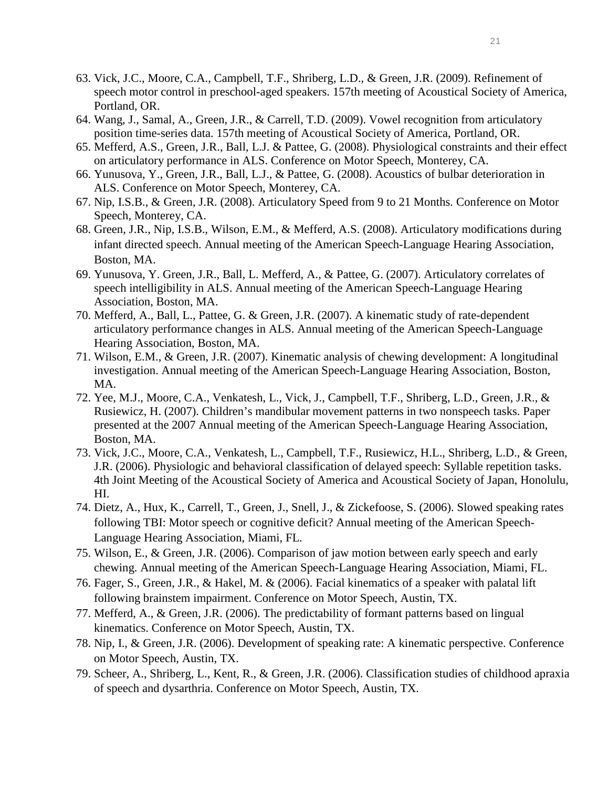- 63. Vick, J.C., Moore, C.A., Campbell, T.F., Shriberg, L.D., & Green, J.R. (2009). Refinement of speech motor control in preschool-aged speakers. 157th meeting of Acoustical Society of America, Portland, OR.
- 64. Wang, J., Samal, A., Green, J.R., & Carrell, T.D. (2009). Vowel recognition from articulatory position time-series data. 157th meeting of Acoustical Society of America, Portland, OR.
- 65. Mefferd, A.S., Green, J.R., Ball, L.J. & Pattee, G. (2008). Physiological constraints and their effect on articulatory performance in ALS. Conference on Motor Speech, Monterey, CA.
- 66. Yunusova, Y., Green, J.R., Ball, L.J., & Pattee, G. (2008). Acoustics of bulbar deterioration in ALS. Conference on Motor Speech, Monterey, CA.
- 67. Nip, I.S.B., & Green, J.R. (2008). Articulatory Speed from 9 to 21 Months. Conference on Motor Speech, Monterey, CA.
- 68. Green, J.R., Nip, I.S.B., Wilson, E.M., & Mefferd, A.S. (2008). Articulatory modifications during infant directed speech. Annual meeting of the American Speech-Language Hearing Association, Boston, MA.
- 69. Yunusova, Y. Green, J.R., Ball, L. Mefferd, A., & Pattee, G. (2007). [Articulatory correlates of](javascript:popup()  [speech intelligibility in ALS.](javascript:popup() Annual meeting of the American Speech-Language Hearing Association, Boston, MA.
- 70. Mefferd, A., Ball, L., Pattee, G. & Green, J.R. (2007). A kinematic study of rate-dependent articulatory performance changes in ALS. Annual meeting of the American Speech-Language Hearing Association, Boston, MA.
- 71. Wilson, E.M., & Green, J.R. (2007). Kinematic analysis of chewing development: A longitudinal investigation. Annual meeting of the American Speech-Language Hearing Association, Boston, MA.
- 72. Yee, M.J., Moore, C.A., Venkatesh, L., Vick, J., Campbell, T.F., Shriberg, L.D., Green, J.R., & Rusiewicz, H. (2007). Children's mandibular movement patterns in two nonspeech tasks. Paper presented at the 2007 Annual meeting of the American Speech-Language Hearing Association, Boston, MA.
- 73. Vick, J.C., Moore, C.A., Venkatesh, L., Campbell, T.F., Rusiewicz, H.L., Shriberg, L.D., & Green, J.R. (2006). Physiologic and behavioral classification of delayed speech: Syllable repetition tasks. 4th Joint Meeting of the Acoustical Society of America and Acoustical Society of Japan, Honolulu, HI.
- 74. Dietz, A., Hux, K., Carrell, T., Green, J., Snell, J., & Zickefoose, S. (2006). Slowed speaking rates following TBI: Motor speech or cognitive deficit? Annual meeting of the American Speech-Language Hearing Association, Miami, FL.
- 75. Wilson, E., & Green, J.R. (2006). Comparison of jaw motion between early speech and early chewing. Annual meeting of the American Speech-Language Hearing Association, Miami, FL.
- 76. Fager, S., Green, J.R., & Hakel, M. & (2006). Facial kinematics of a speaker with palatal lift following brainstem impairment. Conference on Motor Speech, Austin, TX.
- 77. Mefferd, A., & Green, J.R. (2006). The predictability of formant patterns based on lingual kinematics. Conference on Motor Speech, Austin, TX.
- 78. Nip, I., & Green, J.R. (2006). Development of speaking rate: A kinematic perspective. Conference on Motor Speech, Austin, TX.
- 79. Scheer, A., Shriberg, L., Kent, R., & Green, J.R. (2006). Classification studies of childhood apraxia of speech and dysarthria. Conference on Motor Speech, Austin, TX.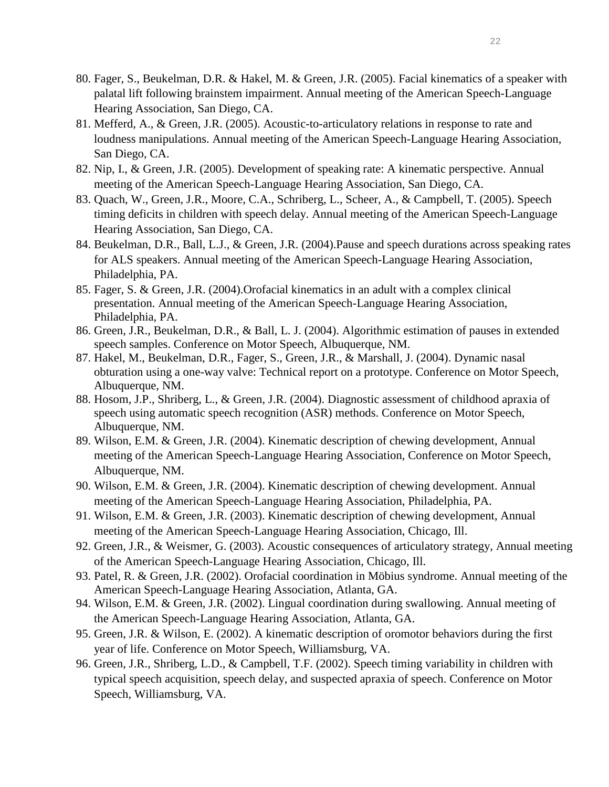- 80. Fager, S., Beukelman, D.R. & Hakel, M. & Green, J.R. (2005). Facial kinematics of a speaker with palatal lift following brainstem impairment. Annual meeting of the American Speech-Language Hearing Association, San Diego, CA.
- 81. Mefferd, A., & Green, J.R. (2005). Acoustic-to-articulatory relations in response to rate and loudness manipulations. Annual meeting of the American Speech-Language Hearing Association, San Diego, CA.
- 82. Nip, I., & Green, J.R. (2005). Development of speaking rate: A kinematic perspective. Annual meeting of the American Speech-Language Hearing Association, San Diego, CA.
- 83. Quach, W., Green, J.R., Moore, C.A., Schriberg, L., Scheer, A., & Campbell, T. (2005). Speech timing deficits in children with speech delay. Annual meeting of the American Speech-Language Hearing Association, San Diego, CA.
- 84. Beukelman, D.R., Ball, L.J., & Green, J.R. (2004).Pause and speech durations across speaking rates for ALS speakers. Annual meeting of the American Speech-Language Hearing Association, Philadelphia, PA.
- 85. Fager, S. & Green, J.R. (2004).Orofacial kinematics in an adult with a complex clinical presentation. Annual meeting of the American Speech-Language Hearing Association, Philadelphia, PA.
- 86. Green, J.R., Beukelman, D.R., & Ball, L. J. (2004). Algorithmic estimation of pauses in extended speech samples. Conference on Motor Speech, Albuquerque, NM.
- 87. Hakel, M., Beukelman, D.R., Fager, S., Green, J.R., & Marshall, J. (2004). Dynamic nasal obturation using a one-way valve: Technical report on a prototype. Conference on Motor Speech, Albuquerque, NM.
- 88. Hosom, J.P., Shriberg, L., & Green, J.R. (2004). Diagnostic assessment of childhood apraxia of speech using automatic speech recognition (ASR) methods. Conference on Motor Speech, Albuquerque, NM.
- 89. Wilson, E.M. & Green, J.R. (2004). Kinematic description of chewing development, Annual meeting of the American Speech-Language Hearing Association, Conference on Motor Speech, Albuquerque, NM.
- 90. Wilson, E.M. & Green, J.R. (2004). Kinematic description of chewing development. Annual meeting of the American Speech-Language Hearing Association, Philadelphia, PA.
- 91. Wilson, E.M. & Green, J.R. (2003). Kinematic description of chewing development, Annual meeting of the American Speech-Language Hearing Association, Chicago, Ill.
- 92. Green, J.R., & Weismer, G. (2003). Acoustic consequences of articulatory strategy, Annual meeting of the American Speech-Language Hearing Association, Chicago, Ill.
- 93. Patel, R. & Green, J.R. (2002). Orofacial coordination in Möbius syndrome. Annual meeting of the American Speech-Language Hearing Association, Atlanta, GA.
- 94. Wilson, E.M. & Green, J.R. (2002). Lingual coordination during swallowing. Annual meeting of the American Speech-Language Hearing Association, Atlanta, GA.
- 95. Green, J.R. & Wilson, E. (2002). A kinematic description of oromotor behaviors during the first year of life. Conference on Motor Speech, Williamsburg, VA.
- 96. Green, J.R., Shriberg, L.D., & Campbell, T.F. (2002). Speech timing variability in children with typical speech acquisition, speech delay, and suspected apraxia of speech. Conference on Motor Speech, Williamsburg, VA.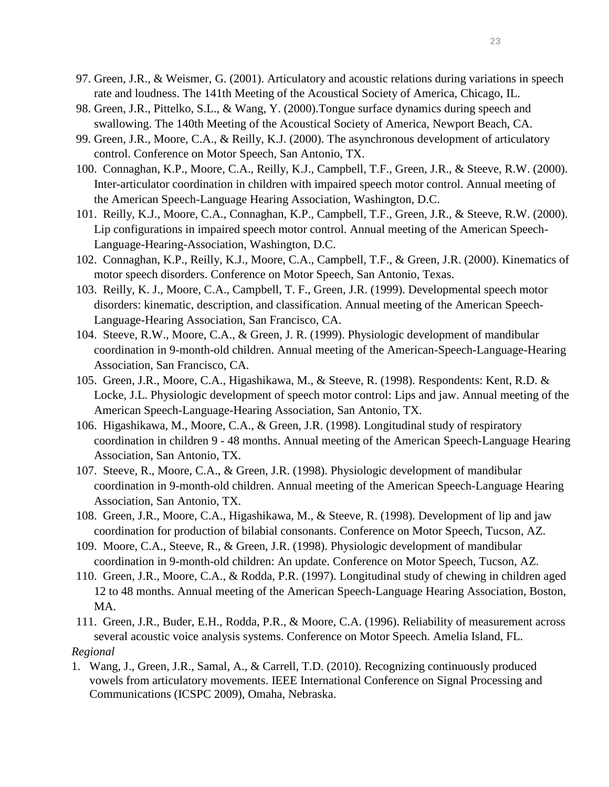- 97. Green, J.R., & Weismer, G. (2001). Articulatory and acoustic relations during variations in speech rate and loudness. The 141th Meeting of the Acoustical Society of America, Chicago, IL.
- 98. Green, J.R., Pittelko, S.L., & Wang, Y. (2000).Tongue surface dynamics during speech and swallowing. The 140th Meeting of the Acoustical Society of America, Newport Beach, CA.
- 99. Green, J.R., Moore, C.A., & Reilly, K.J. (2000). The asynchronous development of articulatory control. Conference on Motor Speech, San Antonio, TX.
- 100. Connaghan, K.P., Moore, C.A., Reilly, K.J., Campbell, T.F., Green, J.R., & Steeve, R.W. (2000). Inter-articulator coordination in children with impaired speech motor control. Annual meeting of the American Speech-Language Hearing Association, Washington, D.C.
- 101. Reilly, K.J., Moore, C.A., Connaghan, K.P., Campbell, T.F., Green, J.R., & Steeve, R.W. (2000). Lip configurations in impaired speech motor control. Annual meeting of the American Speech-Language-Hearing-Association, Washington, D.C.
- 102. Connaghan, K.P., Reilly, K.J., Moore, C.A., Campbell, T.F., & Green, J.R. (2000). Kinematics of motor speech disorders. Conference on Motor Speech, San Antonio, Texas.
- 103. Reilly, K. J., Moore, C.A., Campbell, T. F., Green, J.R. (1999). Developmental speech motor disorders: kinematic, description, and classification. Annual meeting of the American Speech-Language-Hearing Association, San Francisco, CA.
- 104. Steeve, R.W., Moore, C.A., & Green, J. R. (1999). Physiologic development of mandibular coordination in 9-month-old children. Annual meeting of the American-Speech-Language-Hearing Association, San Francisco, CA.
- 105. Green, J.R., Moore, C.A., Higashikawa, M., & Steeve, R. (1998). Respondents: Kent, R.D. & Locke, J.L. Physiologic development of speech motor control: Lips and jaw. Annual meeting of the American Speech-Language-Hearing Association, San Antonio, TX.
- 106. Higashikawa, M., Moore, C.A., & Green, J.R. (1998). Longitudinal study of respiratory coordination in children 9 - 48 months. Annual meeting of the American Speech-Language Hearing Association, San Antonio, TX.
- 107. Steeve, R., Moore, C.A., & Green, J.R. (1998). Physiologic development of mandibular coordination in 9-month-old children. Annual meeting of the American Speech-Language Hearing Association, San Antonio, TX.
- 108. Green, J.R., Moore, C.A., Higashikawa, M., & Steeve, R. (1998). Development of lip and jaw coordination for production of bilabial consonants. Conference on Motor Speech, Tucson, AZ.
- 109. Moore, C.A., Steeve, R., & Green, J.R. (1998). Physiologic development of mandibular coordination in 9-month-old children: An update. Conference on Motor Speech, Tucson, AZ.
- 110. Green, J.R., Moore, C.A., & Rodda, P.R. (1997). Longitudinal study of chewing in children aged 12 to 48 months. Annual meeting of the American Speech-Language Hearing Association, Boston, MA.
- 111. Green, J.R., Buder, E.H., Rodda, P.R., & Moore, C.A. (1996). Reliability of measurement across several acoustic voice analysis systems. Conference on Motor Speech. Amelia Island, FL.

## *Regional*

1. Wang, J., Green, J.R., Samal, A., & Carrell, T.D. (2010). Recognizing continuously produced vowels from articulatory movements. IEEE International Conference on Signal Processing and Communications (ICSPC 2009), Omaha, Nebraska.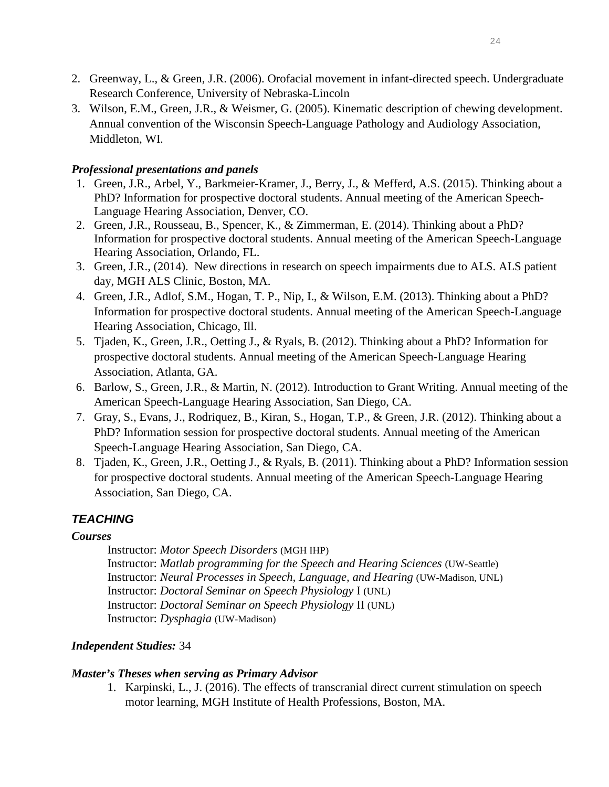- 2. Greenway, L., & Green, J.R. (2006). Orofacial movement in infant-directed speech. Undergraduate Research Conference, University of Nebraska-Lincoln
- 3. Wilson, E.M., Green, J.R., & Weismer, G. (2005). Kinematic description of chewing development. Annual convention of the Wisconsin Speech-Language Pathology and Audiology Association, Middleton, WI.

## *Professional presentations and panels*

- 1. Green, J.R., Arbel, Y., Barkmeier-Kramer, J., Berry, J., & Mefferd, A.S. (2015). Thinking about a PhD? Information for prospective doctoral students. Annual meeting of the American Speech-Language Hearing Association, Denver, CO.
- 2. Green, J.R., Rousseau, B., Spencer, K., & Zimmerman, E. (2014). Thinking about a PhD? Information for prospective doctoral students. Annual meeting of the American Speech-Language Hearing Association, Orlando, FL.
- 3. Green, J.R., (2014). New directions in research on speech impairments due to ALS. ALS patient day, MGH ALS Clinic, Boston, MA.
- 4. Green, J.R., Adlof, S.M., Hogan, T. P., Nip, I., & Wilson, E.M. (2013). Thinking about a PhD? Information for prospective doctoral students. Annual meeting of the American Speech-Language Hearing Association, Chicago, Ill.
- 5. Tjaden, K., Green, J.R., Oetting J., & Ryals, B. (2012). Thinking about a PhD? Information for prospective doctoral students. Annual meeting of the American Speech-Language Hearing Association, Atlanta, GA.
- 6. Barlow, S., Green, J.R., & Martin, N. (2012). Introduction to Grant Writing. Annual meeting of the American Speech-Language Hearing Association, San Diego, CA.
- 7. Gray, S., Evans, J., Rodriquez, B., Kiran, S., Hogan, T.P., & Green, J.R. (2012). Thinking about a PhD? Information session for prospective doctoral students. Annual meeting of the American Speech-Language Hearing Association, San Diego, CA.
- 8. Tjaden, K., Green, J.R., Oetting J., & Ryals, B. (2011). Thinking about a PhD? Information session for prospective doctoral students. Annual meeting of the American Speech-Language Hearing Association, San Diego, CA.

# *TEACHING*

#### *Courses*

Instructor: *Motor Speech Disorders* (MGH IHP) Instructor: *Matlab programming for the Speech and Hearing Sciences* (UW-Seattle) Instructor: *Neural Processes in Speech, Language, and Hearing* (UW-Madison, UNL) Instructor: *Doctoral Seminar on Speech Physiology* I (UNL) Instructor: *Doctoral Seminar on Speech Physiology* II (UNL) Instructor: *Dysphagia* (UW-Madison)

## *Independent Studies:* 34

#### *Master's Theses when serving as Primary Advisor*

1. Karpinski, L., J. (2016). The effects of transcranial direct current stimulation on speech motor learning, MGH Institute of Health Professions, Boston, MA.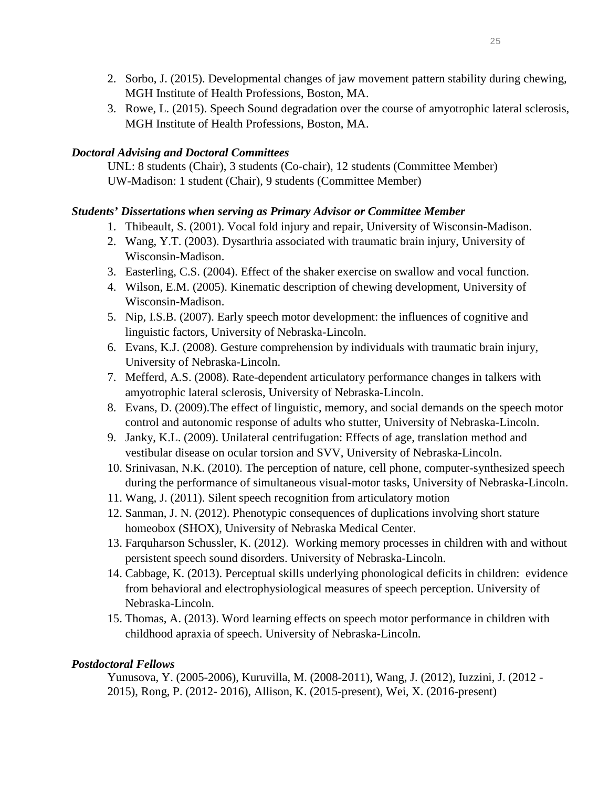- 2. Sorbo, J. (2015). Developmental changes of jaw movement pattern stability during chewing, MGH Institute of Health Professions, Boston, MA.
- 3. Rowe, L. (2015). Speech Sound degradation over the course of amyotrophic lateral sclerosis, MGH Institute of Health Professions, Boston, MA.

#### *Doctoral Advising and Doctoral Committees*

UNL: 8 students (Chair), 3 students (Co-chair), 12 students (Committee Member) UW-Madison: 1 student (Chair), 9 students (Committee Member)

#### *Students' Dissertations when serving as Primary Advisor or Committee Member*

- 1. Thibeault, S. (2001). Vocal fold injury and repair, University of Wisconsin-Madison.
- 2. Wang, Y.T. (2003). Dysarthria associated with traumatic brain injury, University of Wisconsin-Madison.
- 3. Easterling, C.S. (2004). Effect of the shaker exercise on swallow and vocal function.
- 4. Wilson, E.M. (2005). Kinematic description of chewing development, University of Wisconsin-Madison.
- 5. Nip, I.S.B. (2007). Early speech motor development: the influences of cognitive and linguistic factors, University of Nebraska-Lincoln.
- 6. Evans, K.J. (2008). Gesture comprehension by individuals with traumatic brain injury, University of Nebraska-Lincoln.
- 7. Mefferd, A.S. (2008). Rate-dependent articulatory performance changes in talkers with amyotrophic lateral sclerosis, University of Nebraska-Lincoln.
- 8. Evans, D. (2009).The effect of linguistic, memory, and social demands on the speech motor control and autonomic response of adults who stutter, University of Nebraska-Lincoln.
- 9. Janky, K.L. (2009). Unilateral centrifugation: Effects of age, translation method and vestibular disease on ocular torsion and SVV, University of Nebraska-Lincoln.
- 10. Srinivasan, N.K. (2010). The perception of nature, cell phone, computer-synthesized speech during the performance of simultaneous visual-motor tasks, University of Nebraska-Lincoln.
- 11. Wang, J. (2011). Silent speech recognition from articulatory motion
- 12. Sanman, J. N. (2012). Phenotypic consequences of duplications involving short stature homeobox (SHOX), University of Nebraska Medical Center.
- 13. Farquharson Schussler, K. (2012). Working memory processes in children with and without persistent speech sound disorders. University of Nebraska-Lincoln.
- 14. Cabbage, K. (2013). Perceptual skills underlying phonological deficits in children: evidence from behavioral and electrophysiological measures of speech perception. University of Nebraska-Lincoln.
- 15. Thomas, A. (2013). Word learning effects on speech motor performance in children with childhood apraxia of speech. University of Nebraska-Lincoln.

## *Postdoctoral Fellows*

Yunusova, Y. (2005-2006), Kuruvilla, M. (2008-2011), Wang, J. (2012), Iuzzini, J. (2012 - 2015), Rong, P. (2012- 2016), Allison, K. (2015-present), Wei, X. (2016-present)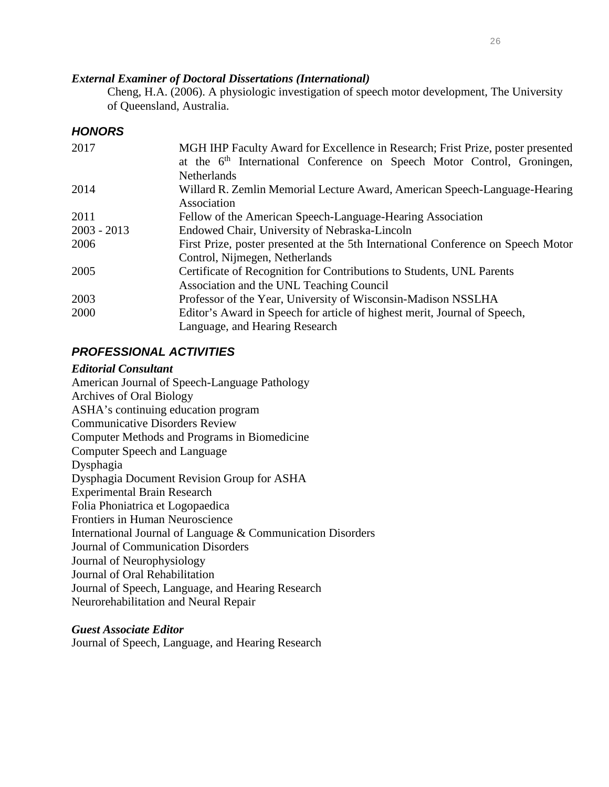#### *External Examiner of Doctoral Dissertations (International)*

Cheng, H.A. (2006). A physiologic investigation of speech motor development, The University of Queensland, Australia.

# *HONORS*

| 2017          | MGH IHP Faculty Award for Excellence in Research; Frist Prize, poster presented<br>at the 6 <sup>th</sup> International Conference on Speech Motor Control, Groningen, |
|---------------|------------------------------------------------------------------------------------------------------------------------------------------------------------------------|
|               | <b>Netherlands</b>                                                                                                                                                     |
| 2014          | Willard R. Zemlin Memorial Lecture Award, American Speech-Language-Hearing                                                                                             |
|               | Association                                                                                                                                                            |
| 2011          | Fellow of the American Speech-Language-Hearing Association                                                                                                             |
| $2003 - 2013$ | Endowed Chair, University of Nebraska-Lincoln                                                                                                                          |
| 2006          | First Prize, poster presented at the 5th International Conference on Speech Motor                                                                                      |
|               | Control, Nijmegen, Netherlands                                                                                                                                         |
| 2005          | Certificate of Recognition for Contributions to Students, UNL Parents                                                                                                  |
|               | Association and the UNL Teaching Council                                                                                                                               |
| 2003          | Professor of the Year, University of Wisconsin-Madison NSSLHA                                                                                                          |
| 2000          | Editor's Award in Speech for article of highest merit, Journal of Speech,                                                                                              |
|               | Language, and Hearing Research                                                                                                                                         |

# *PROFESSIONAL ACTIVITIES*

#### *Editorial Consultant*

American Journal of Speech-Language Pathology Archives of Oral Biology ASHA's continuing education program Communicative Disorders Review Computer Methods and Programs in Biomedicine Computer Speech and Language Dysphagia Dysphagia Document Revision Group for ASHA Experimental Brain Research Folia Phoniatrica et Logopaedica Frontiers in Human Neuroscience International Journal of Language & Communication Disorders Journal of Communication Disorders Journal of Neurophysiology Journal of Oral Rehabilitation Journal of Speech, Language, and Hearing Research Neurorehabilitation and Neural Repair

#### *Guest Associate Editor*

Journal of Speech, Language, and Hearing Research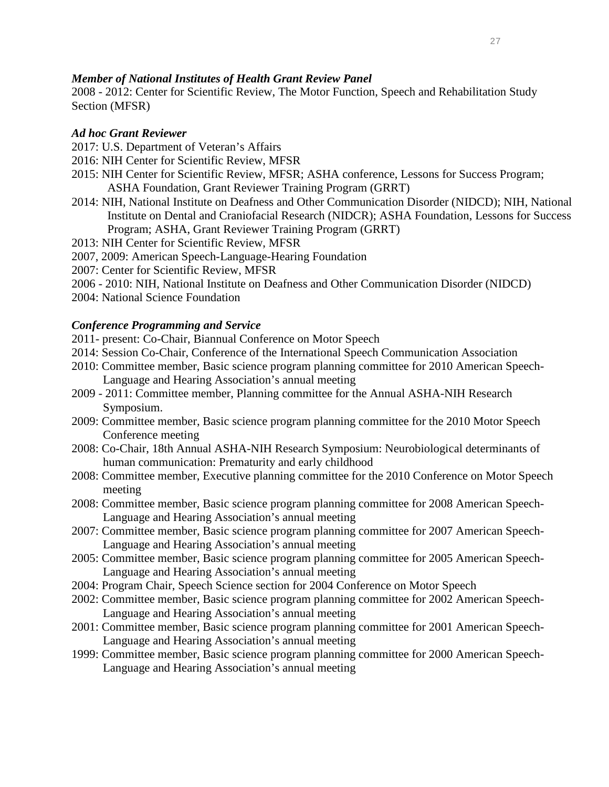#### *Member of National Institutes of Health Grant Review Panel*

2008 - 2012: Center for Scientific Review, The Motor Function, Speech and Rehabilitation Study Section (MFSR)

## *Ad hoc Grant Reviewer*

- 2017: U.S. Department of Veteran's Affairs
- 2016: NIH Center for Scientific Review, MFSR
- 2015: NIH Center for Scientific Review, MFSR; ASHA conference, Lessons for Success Program; ASHA Foundation, Grant Reviewer Training Program (GRRT)
- 2014: NIH, National Institute on Deafness and Other Communication Disorder (NIDCD); NIH, National Institute on Dental and Craniofacial Research (NIDCR); ASHA Foundation, Lessons for Success Program; ASHA, Grant Reviewer Training Program (GRRT)
- 2013: NIH Center for Scientific Review, MFSR
- 2007, 2009: American Speech-Language-Hearing Foundation
- 2007: Center for Scientific Review, MFSR
- 2006 2010: NIH, National Institute on Deafness and Other Communication Disorder (NIDCD)
- 2004: National Science Foundation

#### *Conference Programming and Service*

- 2011- present: Co-Chair, Biannual Conference on Motor Speech
- 2014: Session Co-Chair, Conference of the International Speech Communication Association
- 2010: Committee member, Basic science program planning committee for 2010 American Speech-Language and Hearing Association's annual meeting
- 2009 2011: Committee member, Planning committee for the Annual ASHA-NIH Research Symposium.
- 2009: Committee member, Basic science program planning committee for the 2010 Motor Speech Conference meeting
- 2008: Co-Chair, 18th Annual ASHA-NIH Research Symposium: Neurobiological determinants of human communication: Prematurity and early childhood
- 2008: Committee member, Executive planning committee for the 2010 Conference on Motor Speech meeting
- 2008: Committee member, Basic science program planning committee for 2008 American Speech-Language and Hearing Association's annual meeting
- 2007: Committee member, Basic science program planning committee for 2007 American Speech-Language and Hearing Association's annual meeting
- 2005: Committee member, Basic science program planning committee for 2005 American Speech-Language and Hearing Association's annual meeting
- 2004: Program Chair, Speech Science section for 2004 Conference on Motor Speech
- 2002: Committee member, Basic science program planning committee for 2002 American Speech-Language and Hearing Association's annual meeting
- 2001: Committee member, Basic science program planning committee for 2001 American Speech-Language and Hearing Association's annual meeting
- 1999: Committee member, Basic science program planning committee for 2000 American Speech-Language and Hearing Association's annual meeting